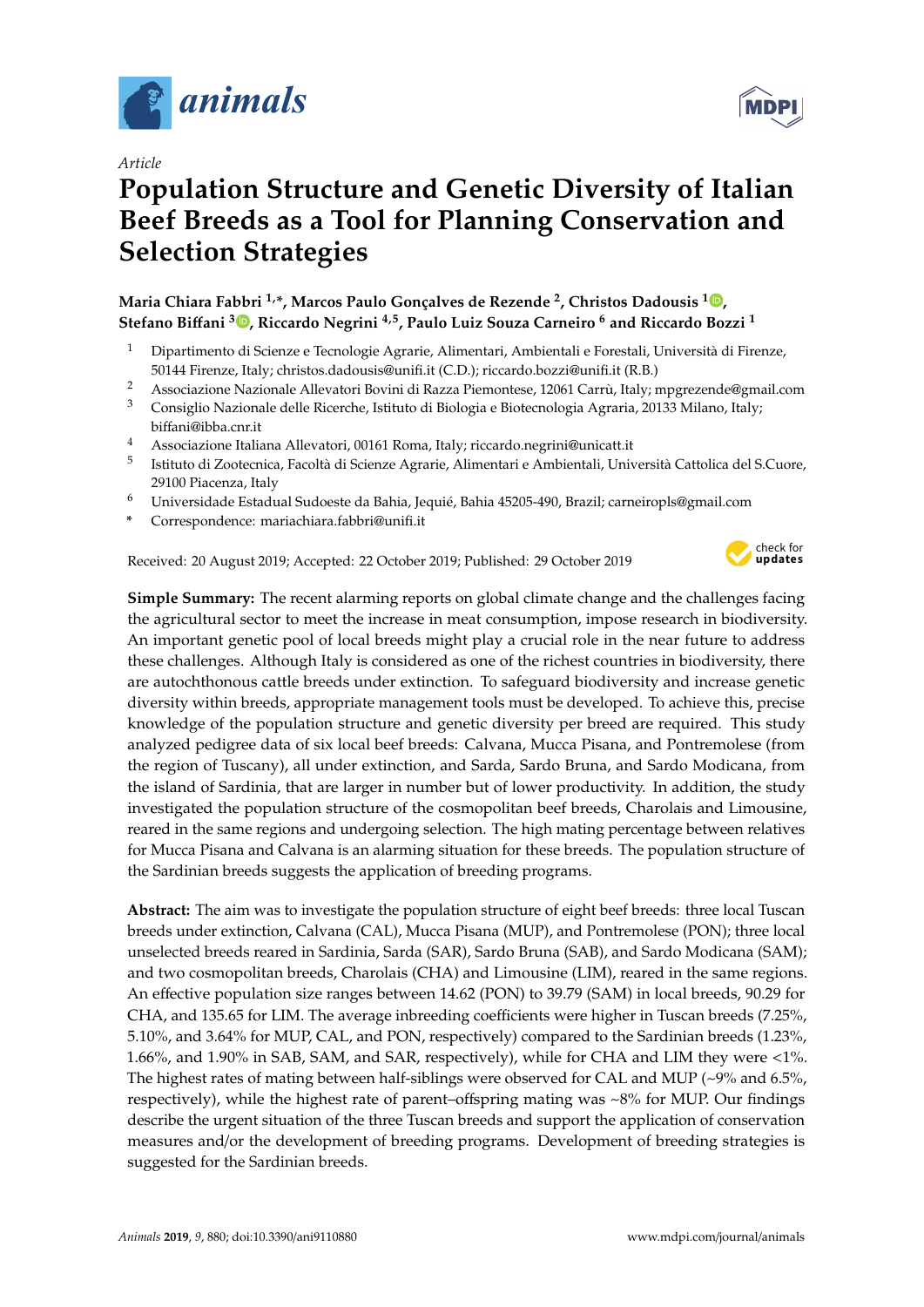

*Article*

# **Population Structure and Genetic Diversity of Italian Beef Breeds as a Tool for Planning Conservation and Selection Strategies**

### **Maria Chiara Fabbri 1,\*, Marcos Paulo Gonçalves de Rezende <sup>2</sup> , Christos Dadousis <sup>1</sup> [,](https://orcid.org/0000-0002-7689-6443) Stefano Bi**ff**ani <sup>3</sup> [,](https://orcid.org/0000-0001-5559-3630) Riccardo Negrini 4,5, Paulo Luiz Souza Carneiro <sup>6</sup> and Riccardo Bozzi <sup>1</sup>**

- <sup>1</sup> Dipartimento di Scienze e Tecnologie Agrarie, Alimentari, Ambientali e Forestali, Università di Firenze, 50144 Firenze, Italy; christos.dadousis@unifi.it (C.D.); riccardo.bozzi@unifi.it (R.B.)
- <sup>2</sup> Associazione Nazionale Allevatori Bovini di Razza Piemontese, 12061 Carrù, Italy; mpgrezende@gmail.com
- <sup>3</sup> Consiglio Nazionale delle Ricerche, Istituto di Biologia e Biotecnologia Agraria, 20133 Milano, Italy; biffani@ibba.cnr.it
- <sup>4</sup> Associazione Italiana Allevatori, 00161 Roma, Italy; riccardo.negrini@unicatt.it
- 5 Istituto di Zootecnica, Facoltà di Scienze Agrarie, Alimentari e Ambientali, Università Cattolica del S.Cuore, 29100 Piacenza, Italy
- <sup>6</sup> Universidade Estadual Sudoeste da Bahia, Jequié, Bahia 45205-490, Brazil; carneiropls@gmail.com
- **\*** Correspondence: mariachiara.fabbri@unifi.it

Received: 20 August 2019; Accepted: 22 October 2019; Published: 29 October 2019



**Simple Summary:** The recent alarming reports on global climate change and the challenges facing the agricultural sector to meet the increase in meat consumption, impose research in biodiversity. An important genetic pool of local breeds might play a crucial role in the near future to address these challenges. Although Italy is considered as one of the richest countries in biodiversity, there are autochthonous cattle breeds under extinction. To safeguard biodiversity and increase genetic diversity within breeds, appropriate management tools must be developed. To achieve this, precise knowledge of the population structure and genetic diversity per breed are required. This study analyzed pedigree data of six local beef breeds: Calvana, Mucca Pisana, and Pontremolese (from the region of Tuscany), all under extinction, and Sarda, Sardo Bruna, and Sardo Modicana, from the island of Sardinia, that are larger in number but of lower productivity. In addition, the study investigated the population structure of the cosmopolitan beef breeds, Charolais and Limousine, reared in the same regions and undergoing selection. The high mating percentage between relatives for Mucca Pisana and Calvana is an alarming situation for these breeds. The population structure of the Sardinian breeds suggests the application of breeding programs.

**Abstract:** The aim was to investigate the population structure of eight beef breeds: three local Tuscan breeds under extinction, Calvana (CAL), Mucca Pisana (MUP), and Pontremolese (PON); three local unselected breeds reared in Sardinia, Sarda (SAR), Sardo Bruna (SAB), and Sardo Modicana (SAM); and two cosmopolitan breeds, Charolais (CHA) and Limousine (LIM), reared in the same regions. An effective population size ranges between 14.62 (PON) to 39.79 (SAM) in local breeds, 90.29 for CHA, and 135.65 for LIM. The average inbreeding coefficients were higher in Tuscan breeds (7.25%, 5.10%, and 3.64% for MUP, CAL, and PON, respectively) compared to the Sardinian breeds (1.23%, 1.66%, and 1.90% in SAB, SAM, and SAR, respectively), while for CHA and LIM they were <1%. The highest rates of mating between half-siblings were observed for CAL and MUP (~9% and 6.5%, respectively), while the highest rate of parent–offspring mating was ~8% for MUP. Our findings describe the urgent situation of the three Tuscan breeds and support the application of conservation measures and/or the development of breeding programs. Development of breeding strategies is suggested for the Sardinian breeds.

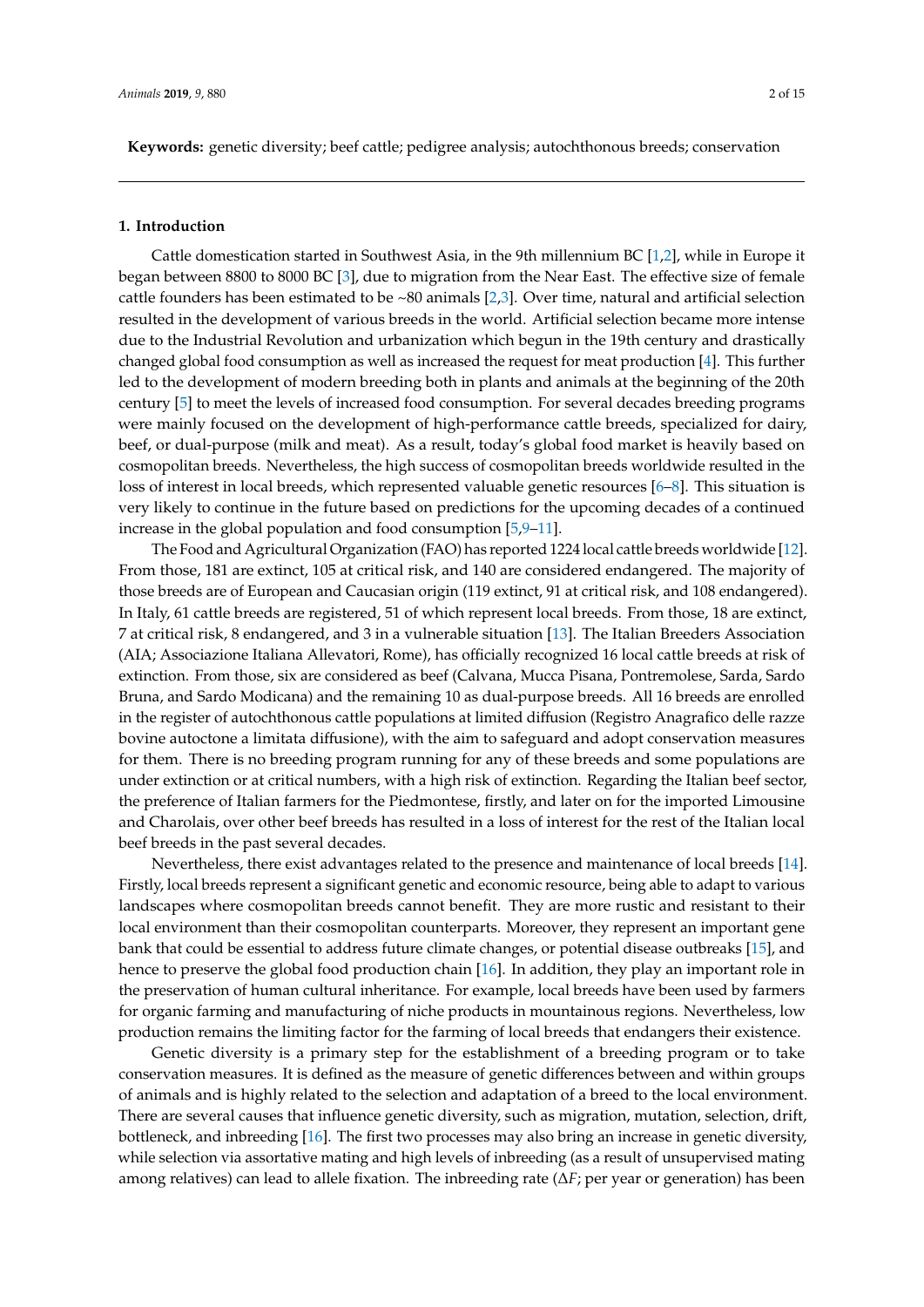**Keywords:** genetic diversity; beef cattle; pedigree analysis; autochthonous breeds; conservation

#### **1. Introduction**

Cattle domestication started in Southwest Asia, in the 9th millennium BC [\[1](#page-11-0)[,2\]](#page-11-1), while in Europe it began between 8800 to 8000 BC [\[3\]](#page-11-2), due to migration from the Near East. The effective size of female cattle founders has been estimated to be  $~80$  animals [\[2](#page-11-1)[,3\]](#page-11-2). Over time, natural and artificial selection resulted in the development of various breeds in the world. Artificial selection became more intense due to the Industrial Revolution and urbanization which begun in the 19th century and drastically changed global food consumption as well as increased the request for meat production [\[4\]](#page-11-3). This further led to the development of modern breeding both in plants and animals at the beginning of the 20th century [\[5\]](#page-12-0) to meet the levels of increased food consumption. For several decades breeding programs were mainly focused on the development of high-performance cattle breeds, specialized for dairy, beef, or dual-purpose (milk and meat). As a result, today's global food market is heavily based on cosmopolitan breeds. Nevertheless, the high success of cosmopolitan breeds worldwide resulted in the loss of interest in local breeds, which represented valuable genetic resources [\[6–](#page-12-1)[8\]](#page-12-2). This situation is very likely to continue in the future based on predictions for the upcoming decades of a continued increase in the global population and food consumption [\[5,](#page-12-0)[9–](#page-12-3)[11\]](#page-12-4).

The Food and Agricultural Organization (FAO) has reported 1224 local cattle breeds worldwide [\[12\]](#page-12-5). From those, 181 are extinct, 105 at critical risk, and 140 are considered endangered. The majority of those breeds are of European and Caucasian origin (119 extinct, 91 at critical risk, and 108 endangered). In Italy, 61 cattle breeds are registered, 51 of which represent local breeds. From those, 18 are extinct, 7 at critical risk, 8 endangered, and 3 in a vulnerable situation [\[13\]](#page-12-6). The Italian Breeders Association (AIA; Associazione Italiana Allevatori, Rome), has officially recognized 16 local cattle breeds at risk of extinction. From those, six are considered as beef (Calvana, Mucca Pisana, Pontremolese, Sarda, Sardo Bruna, and Sardo Modicana) and the remaining 10 as dual-purpose breeds. All 16 breeds are enrolled in the register of autochthonous cattle populations at limited diffusion (Registro Anagrafico delle razze bovine autoctone a limitata diffusione), with the aim to safeguard and adopt conservation measures for them. There is no breeding program running for any of these breeds and some populations are under extinction or at critical numbers, with a high risk of extinction. Regarding the Italian beef sector, the preference of Italian farmers for the Piedmontese, firstly, and later on for the imported Limousine and Charolais, over other beef breeds has resulted in a loss of interest for the rest of the Italian local beef breeds in the past several decades.

Nevertheless, there exist advantages related to the presence and maintenance of local breeds [\[14\]](#page-12-7). Firstly, local breeds represent a significant genetic and economic resource, being able to adapt to various landscapes where cosmopolitan breeds cannot benefit. They are more rustic and resistant to their local environment than their cosmopolitan counterparts. Moreover, they represent an important gene bank that could be essential to address future climate changes, or potential disease outbreaks [\[15\]](#page-12-8), and hence to preserve the global food production chain [\[16\]](#page-12-9). In addition, they play an important role in the preservation of human cultural inheritance. For example, local breeds have been used by farmers for organic farming and manufacturing of niche products in mountainous regions. Nevertheless, low production remains the limiting factor for the farming of local breeds that endangers their existence.

Genetic diversity is a primary step for the establishment of a breeding program or to take conservation measures. It is defined as the measure of genetic differences between and within groups of animals and is highly related to the selection and adaptation of a breed to the local environment. There are several causes that influence genetic diversity, such as migration, mutation, selection, drift, bottleneck, and inbreeding [\[16\]](#page-12-9). The first two processes may also bring an increase in genetic diversity, while selection via assortative mating and high levels of inbreeding (as a result of unsupervised mating among relatives) can lead to allele fixation. The inbreeding rate (∆*F*; per year or generation) has been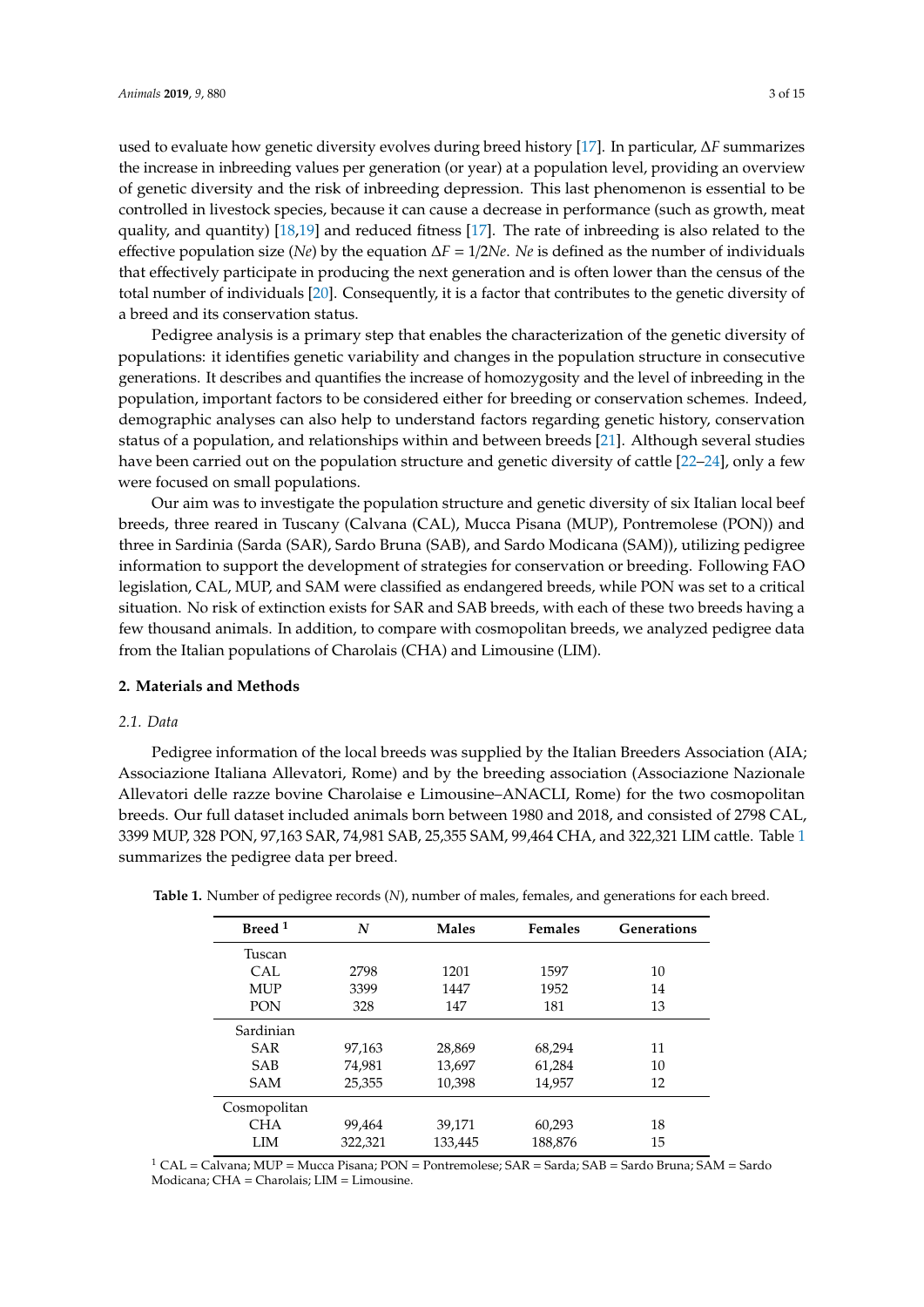used to evaluate how genetic diversity evolves during breed history [\[17\]](#page-12-10). In particular, ∆*F* summarizes the increase in inbreeding values per generation (or year) at a population level, providing an overview of genetic diversity and the risk of inbreeding depression. This last phenomenon is essential to be controlled in livestock species, because it can cause a decrease in performance (such as growth, meat quality, and quantity) [\[18,](#page-12-11)[19\]](#page-12-12) and reduced fitness [\[17\]](#page-12-10). The rate of inbreeding is also related to the effective population size (*Ne*) by the equation ∆*F* = 1/2*Ne*. *Ne* is defined as the number of individuals that effectively participate in producing the next generation and is often lower than the census of the total number of individuals [\[20\]](#page-12-13). Consequently, it is a factor that contributes to the genetic diversity of a breed and its conservation status.

Pedigree analysis is a primary step that enables the characterization of the genetic diversity of populations: it identifies genetic variability and changes in the population structure in consecutive generations. It describes and quantifies the increase of homozygosity and the level of inbreeding in the population, important factors to be considered either for breeding or conservation schemes. Indeed, demographic analyses can also help to understand factors regarding genetic history, conservation status of a population, and relationships within and between breeds [\[21\]](#page-12-14). Although several studies have been carried out on the population structure and genetic diversity of cattle [\[22–](#page-12-15)[24\]](#page-12-16), only a few were focused on small populations.

Our aim was to investigate the population structure and genetic diversity of six Italian local beef breeds, three reared in Tuscany (Calvana (CAL), Mucca Pisana (MUP), Pontremolese (PON)) and three in Sardinia (Sarda (SAR), Sardo Bruna (SAB), and Sardo Modicana (SAM)), utilizing pedigree information to support the development of strategies for conservation or breeding. Following FAO legislation, CAL, MUP, and SAM were classified as endangered breeds, while PON was set to a critical situation. No risk of extinction exists for SAR and SAB breeds, with each of these two breeds having a few thousand animals. In addition, to compare with cosmopolitan breeds, we analyzed pedigree data from the Italian populations of Charolais (CHA) and Limousine (LIM).

#### **2. Materials and Methods**

#### *2.1. Data*

Pedigree information of the local breeds was supplied by the Italian Breeders Association (AIA; Associazione Italiana Allevatori, Rome) and by the breeding association (Associazione Nazionale Allevatori delle razze bovine Charolaise e Limousine–ANACLI, Rome) for the two cosmopolitan breeds. Our full dataset included animals born between 1980 and 2018, and consisted of 2798 CAL, 3399 MUP, 328 PON, 97,163 SAR, 74,981 SAB, 25,355 SAM, 99,464 CHA, and 322,321 LIM cattle. Table [1](#page-2-0) summarizes the pedigree data per breed.

| Breed <sup>1</sup> | N       | <b>Males</b> | <b>Females</b> | <b>Generations</b> |
|--------------------|---------|--------------|----------------|--------------------|
| Tuscan             |         |              |                |                    |
| CAL                | 2798    | 1201         | 1597           | 10                 |
| <b>MUP</b>         | 3399    | 1447         | 1952           | 14                 |
| <b>PON</b>         | 328     | 147          | 181            | 13                 |
| Sardinian          |         |              |                |                    |
| <b>SAR</b>         | 97,163  | 28,869       | 68,294         | 11                 |
| <b>SAB</b>         | 74,981  | 13,697       | 61,284         | 10                 |
| <b>SAM</b>         | 25,355  | 10,398       | 14,957         | 12                 |
| Cosmopolitan       |         |              |                |                    |
| <b>CHA</b>         | 99,464  | 39,171       | 60,293         | 18                 |
| LIM                | 322,321 | 133,445      | 188,876        | 15                 |

<span id="page-2-0"></span>**Table 1.** Number of pedigree records (*N*), number of males, females, and generations for each breed.

<sup>1</sup> CAL = Calvana; MUP = Mucca Pisana; PON = Pontremolese; SAR = Sarda; SAB = Sardo Bruna; SAM = Sardo Modicana; CHA = Charolais; LIM = Limousine.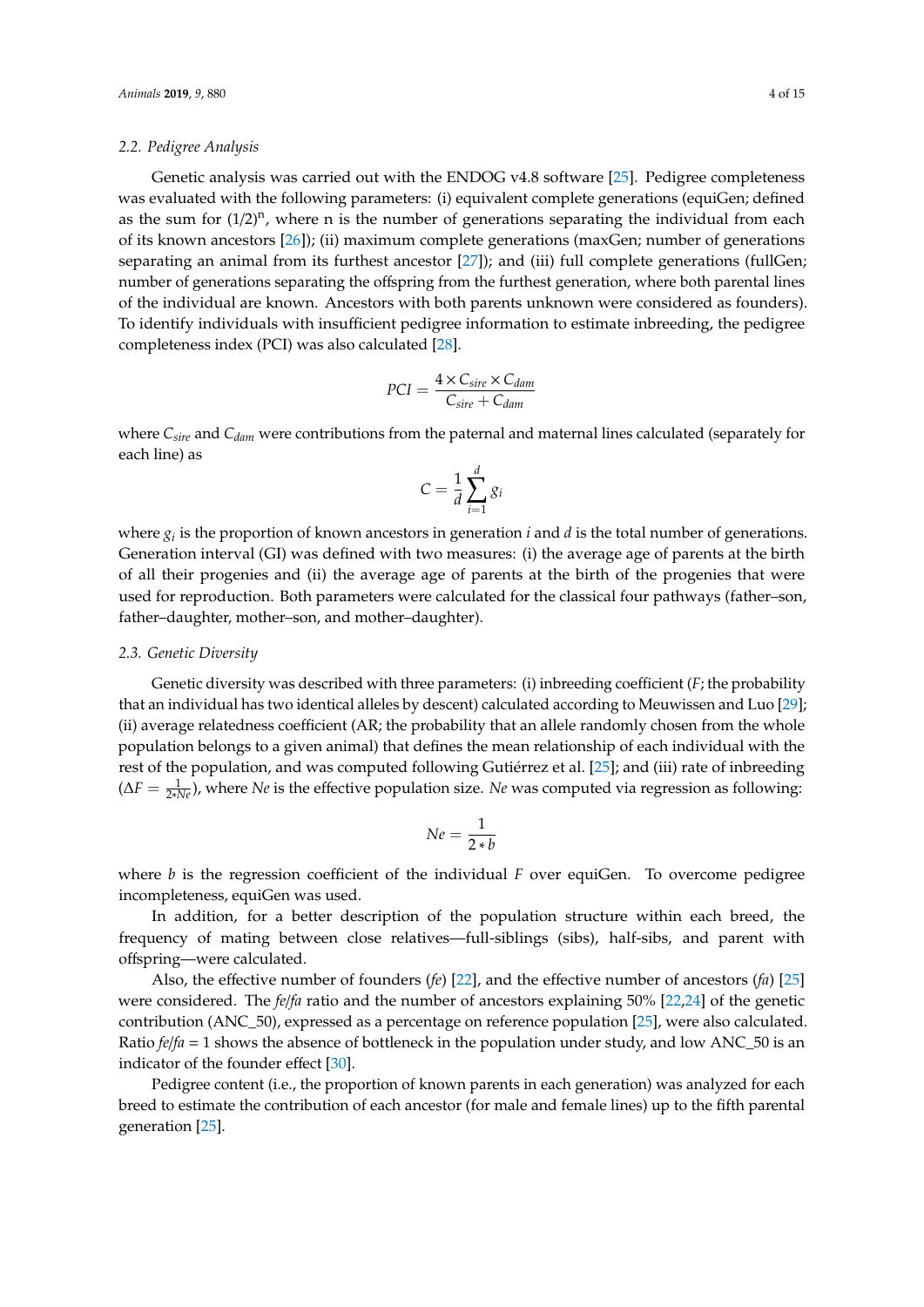#### *2.2. Pedigree Analysis*

Genetic analysis was carried out with the ENDOG v4.8 software [\[25\]](#page-12-17). Pedigree completeness was evaluated with the following parameters: (i) equivalent complete generations (equiGen; defined as the sum for  $(1/2)^n$ , where n is the number of generations separating the individual from each of its known ancestors [\[26\]](#page-13-0)); (ii) maximum complete generations (maxGen; number of generations separating an animal from its furthest ancestor [\[27\]](#page-13-1)); and (iii) full complete generations (fullGen; number of generations separating the offspring from the furthest generation, where both parental lines of the individual are known. Ancestors with both parents unknown were considered as founders). To identify individuals with insufficient pedigree information to estimate inbreeding, the pedigree completeness index (PCI) was also calculated [\[28\]](#page-13-2).

$$
PCI = \frac{4 \times C_{sire} \times C_{dam}}{C_{sire} + C_{dam}}
$$

where *Csire* and *Cdam* were contributions from the paternal and maternal lines calculated (separately for each line) as

$$
C = \frac{1}{d} \sum_{i=1}^{d} g_i
$$

where  $g_i$  is the proportion of known ancestors in generation  $i$  and  $d$  is the total number of generations. Generation interval (GI) was defined with two measures: (i) the average age of parents at the birth of all their progenies and (ii) the average age of parents at the birth of the progenies that were used for reproduction. Both parameters were calculated for the classical four pathways (father–son, father–daughter, mother–son, and mother–daughter).

#### *2.3. Genetic Diversity*

Genetic diversity was described with three parameters: (i) inbreeding coefficient (*F*; the probability that an individual has two identical alleles by descent) calculated according to Meuwissen and Luo [\[29\]](#page-13-3); (ii) average relatedness coefficient (AR; the probability that an allele randomly chosen from the whole population belongs to a given animal) that defines the mean relationship of each individual with the rest of the population, and was computed following Gutiérrez et al. [\[25\]](#page-12-17); and (iii) rate of inbreeding (∆*F* = <sup>1</sup> <sup>2</sup>∗*Ne*), where *Ne* is the effective population size. *Ne* was computed via regression as following:

$$
Ne = \frac{1}{2*b}
$$

where  $b$  is the regression coefficient of the individual  $F$  over equiGen. To overcome pedigree incompleteness, equiGen was used.

In addition, for a better description of the population structure within each breed, the frequency of mating between close relatives—full-siblings (sibs), half-sibs, and parent with offspring—were calculated.

Also, the effective number of founders (*fe*) [\[22\]](#page-12-15), and the effective number of ancestors (*fa*) [\[25\]](#page-12-17) were considered. The *fe*/*fa* ratio and the number of ancestors explaining 50% [\[22,](#page-12-15)[24\]](#page-12-16) of the genetic contribution (ANC\_50), expressed as a percentage on reference population [\[25\]](#page-12-17), were also calculated. Ratio  $f e / f a = 1$  shows the absence of bottleneck in the population under study, and low ANC\_50 is an indicator of the founder effect [\[30\]](#page-13-4).

Pedigree content (i.e., the proportion of known parents in each generation) was analyzed for each breed to estimate the contribution of each ancestor (for male and female lines) up to the fifth parental generation [\[25\]](#page-12-17).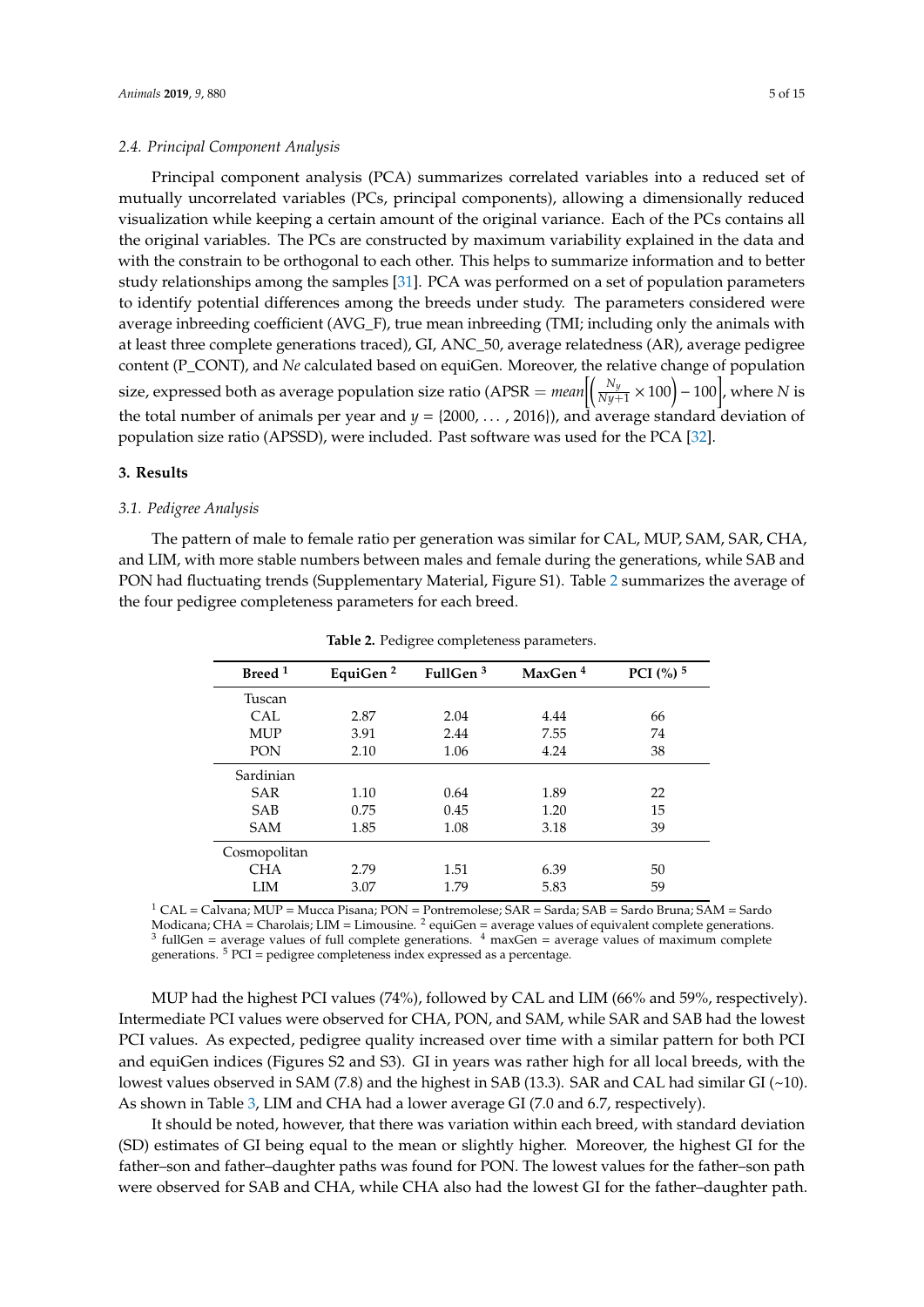#### *2.4. Principal Component Analysis*

Principal component analysis (PCA) summarizes correlated variables into a reduced set of mutually uncorrelated variables (PCs, principal components), allowing a dimensionally reduced visualization while keeping a certain amount of the original variance. Each of the PCs contains all the original variables. The PCs are constructed by maximum variability explained in the data and with the constrain to be orthogonal to each other. This helps to summarize information and to better study relationships among the samples [\[31\]](#page-13-5). PCA was performed on a set of population parameters to identify potential differences among the breeds under study. The parameters considered were average inbreeding coefficient (AVG\_F), true mean inbreeding (TMI; including only the animals with at least three complete generations traced), GI, ANC\_50, average relatedness (AR), average pedigree content (P\_CONT), and *Ne* calculated based on equiGen. Moreover, the relative change of population size, expressed both as average population size ratio (APSR =  $mean \Big[\Big(\frac{N_y}{Ny+1} \times 100\Big)-100\Big]$ , where  $N$  is the total number of animals per year and  $y = \{2000, \ldots, 2016\}$ , and average standard deviation of population size ratio (APSSD), were included. Past software was used for the PCA [\[32\]](#page-13-6).

#### **3. Results**

#### *3.1. Pedigree Analysis*

<span id="page-4-0"></span>The pattern of male to female ratio per generation was similar for CAL, MUP, SAM, SAR, CHA, and LIM, with more stable numbers between males and female during the generations, while SAB and PON had fluctuating trends (Supplementary Material, Figure S1). Table [2](#page-4-0) summarizes the average of the four pedigree completeness parameters for each breed.

| Breed <sup>1</sup> | EquiGen <sup>2</sup> | FullGen $3$ | MaxGen <sup>4</sup> | PCI $(%)$ <sup>5</sup> |
|--------------------|----------------------|-------------|---------------------|------------------------|
| Tuscan             |                      |             |                     |                        |
| CAL                | 2.87                 | 2.04        | 4.44                | 66                     |
| <b>MUP</b>         | 3.91                 | 2.44        | 7.55                | 74                     |
| PON                | 2.10                 | 1.06        | 4.24                | 38                     |
| Sardinian          |                      |             |                     |                        |
| <b>SAR</b>         | 1.10                 | 0.64        | 1.89                | 22                     |
| <b>SAB</b>         | 0.75                 | 0.45        | 1.20                | 15                     |
| <b>SAM</b>         | 1.85                 | 1.08        | 3.18                | 39                     |
| Cosmopolitan       |                      |             |                     |                        |
| <b>CHA</b>         | 2.79                 | 1.51        | 6.39                | 50                     |
| <b>LIM</b>         | 3.07                 | 1.79        | 5.83                | 59                     |

**Table 2.** Pedigree completeness parameters.

 $1$  CAL = Calvana; MUP = Mucca Pisana; PON = Pontremolese; SAR = Sarda; SAB = Sardo Bruna; SAM = Sardo Modicana; CHA = Charolais; LIM = Limousine. <sup>2</sup> equiGen = average values of equivalent complete generations.<br><sup>3</sup> fullGen = average values of full complete generations. <sup>4</sup> maxGen = average values of maximum complete generations.  $5$  PCI = pedigree completeness index expressed as a percentage.

MUP had the highest PCI values (74%), followed by CAL and LIM (66% and 59%, respectively). Intermediate PCI values were observed for CHA, PON, and SAM, while SAR and SAB had the lowest PCI values. As expected, pedigree quality increased over time with a similar pattern for both PCI and equiGen indices (Figures S2 and S3). GI in years was rather high for all local breeds, with the lowest values observed in SAM (7.8) and the highest in SAB (13.3). SAR and CAL had similar GI ( $\sim$ 10). As shown in Table [3,](#page-5-0) LIM and CHA had a lower average GI (7.0 and 6.7, respectively).

It should be noted, however, that there was variation within each breed, with standard deviation (SD) estimates of GI being equal to the mean or slightly higher. Moreover, the highest GI for the father–son and father–daughter paths was found for PON. The lowest values for the father–son path were observed for SAB and CHA, while CHA also had the lowest GI for the father–daughter path.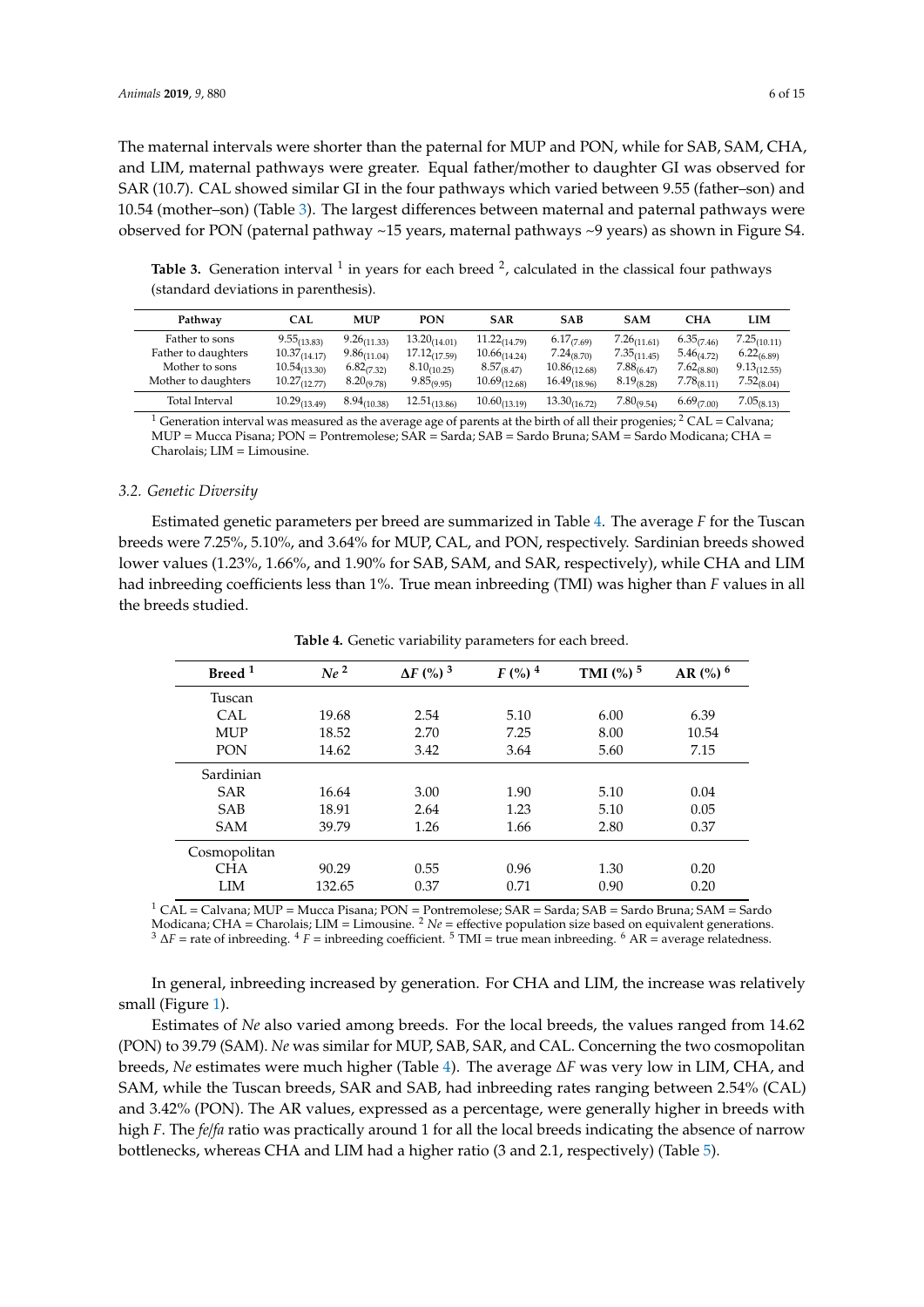The maternal intervals were shorter than the paternal for MUP and PON, while for SAB, SAM, CHA, and LIM, maternal pathways were greater. Equal father/mother to daughter GI was observed for SAR (10.7). CAL showed similar GI in the four pathways which varied between 9.55 (father–son) and 10.54 (mother–son) (Table [3\)](#page-5-0). The largest differences between maternal and paternal pathways were observed for PON (paternal pathway ~15 years, maternal pathways ~9 years) as shown in Figure S4.

**Pathway CAL MUP PON SAR SAB SAM CHA LIM** Father to sons  $9.55_{(13.83)}$   $9.26_{(11.33)}$   $13.20_{(14.01)}$   $11.22_{(14.79)}$   $6.17_{(7.69)}$   $7.26_{(11.61)}$   $6.35_{(7.46)}$   $7.25_{(10.11)}$ Father to daughters  $\begin{array}{ccccccccc}\n & 10.37_{(14.17)} & 9.86_{(11.04)} & 17.12_{(17.59)} & 10.66_{(14.24)} & 7.24_{(8.70)} & 7.35_{(11.45)} & 5.46_{(4.72)} & 6.22_{(6.89)} \\
\hline\n\text{Mother to sons} & 10.54_{(13.30)} & 6.82_{(7.32)} & 8.10_{(10.25)} & 8.57_{(8.47)} & 10.86_{(12$ Mother to sons  $10.54_{(13.30)}$   $6.82_{(7.32)}$   $8.10_{(10.25)}$   $8.57_{(8.47)}$   $10.86_{(12.68)}$   $7.88_{(6.47)}$   $7.62_{(8.80)}$   $9.13_{(12.55)}$  $\hbox{Mother to daughters} \qquad 10.27_{(12.77)} \qquad 8.20_{(9.78)} \qquad 9.85_{(9.95)} \qquad 10.69_{(12.68)} \qquad 16.49_{(18.96)} \qquad 8.19_{(8.28)} \qquad 7.78_{(8.11)} \qquad 7.52_{(8.04)}$ Total Interval  $10.29_{(13.49)}$   $8.94_{(10.38)}$   $12.51_{(13.86)}$   $10.60_{(13.19)}$   $13.30_{(16.72)}$   $7.80_{(9.54)}$   $6.69_{(7.00)}$   $7.05_{(8.13)}$ 

<span id="page-5-0"></span>Table 3. Generation interval <sup>1</sup> in years for each breed <sup>2</sup>, calculated in the classical four pathways (standard deviations in parenthesis).

<sup>1</sup> Generation interval was measured as the average age of parents at the birth of all their progenies; <sup>2</sup> CAL = Calvana; MUP = Mucca Pisana; PON = Pontremolese;  $\angle$ SAR = Sarda; SAB = Sardo Bruna; SAM = Sardo Modicana; CHA = Charolais; LIM = Limousine.

#### *3.2. Genetic Diversity*

Estimated genetic parameters per breed are summarized in Table [4.](#page-5-1) The average *F* for the Tuscan breeds were 7.25%, 5.10%, and 3.64% for MUP, CAL, and PON, respectively. Sardinian breeds showed lower values (1.23%, 1.66%, and 1.90% for SAB, SAM, and SAR, respectively), while CHA and LIM had inbreeding coefficients less than 1%. True mean inbreeding (TMI) was higher than *F* values in all the breeds studied.

<span id="page-5-1"></span>

| Breed <sup>1</sup> | Ne <sup>2</sup> | $\Delta F$ (%) <sup>3</sup> | $F$ (%) $^{4}$ | TMI $(%)$ <sup>5</sup> | AR $(%)$ <sup>6</sup> |
|--------------------|-----------------|-----------------------------|----------------|------------------------|-----------------------|
| Tuscan             |                 |                             |                |                        |                       |
| <b>CAL</b>         | 19.68           | 2.54                        | 5.10           | 6.00                   | 6.39                  |
| <b>MUP</b>         | 18.52           | 2.70                        | 7.25           | 8.00                   | 10.54                 |
| PON                | 14.62           | 3.42                        | 3.64           | 5.60                   | 7.15                  |
| Sardinian          |                 |                             |                |                        |                       |
| <b>SAR</b>         | 16.64           | 3.00                        | 1.90           | 5.10                   | 0.04                  |
| <b>SAB</b>         | 18.91           | 2.64                        | 1.23           | 5.10                   | 0.05                  |
| <b>SAM</b>         | 39.79           | 1.26                        | 1.66           | 2.80                   | 0.37                  |
| Cosmopolitan       |                 |                             |                |                        |                       |
| <b>CHA</b>         | 90.29           | 0.55                        | 0.96           | 1.30                   | 0.20                  |
| LIM                | 132.65          | 0.37                        | 0.71           | 0.90                   | 0.20                  |

**Table 4.** Genetic variability parameters for each breed.

 $1$  CAL = Calvana; MUP = Mucca Pisana; PON = Pontremolese; SAR = Sarda; SAB = Sardo Bruna; SAM = Sardo Modicana; CHA = Charolais; LIM = Limousine. <sup>2</sup> *Ne* = effective population size based on equivalent generations.  $3 \Delta F$  = rate of inbreeding.  $4 F$  = inbreeding coefficient.  $5 TMI$  = true mean inbreeding.  $6 AR$  = average relatedness.

In general, inbreeding increased by generation. For CHA and LIM, the increase was relatively small (Figure [1\)](#page-6-0).

Estimates of *Ne* also varied among breeds. For the local breeds, the values ranged from 14.62 (PON) to 39.79 (SAM). *Ne* was similar for MUP, SAB, SAR, and CAL. Concerning the two cosmopolitan breeds, *Ne* estimates were much higher (Table [4\)](#page-5-1). The average ∆*F* was very low in LIM, CHA, and SAM, while the Tuscan breeds, SAR and SAB, had inbreeding rates ranging between 2.54% (CAL) and 3.42% (PON). The AR values, expressed as a percentage, were generally higher in breeds with high *F*. The *fe*/*fa* ratio was practically around 1 for all the local breeds indicating the absence of narrow bottlenecks, whereas CHA and LIM had a higher ratio (3 and 2.1, respectively) (Table [5\)](#page-6-1).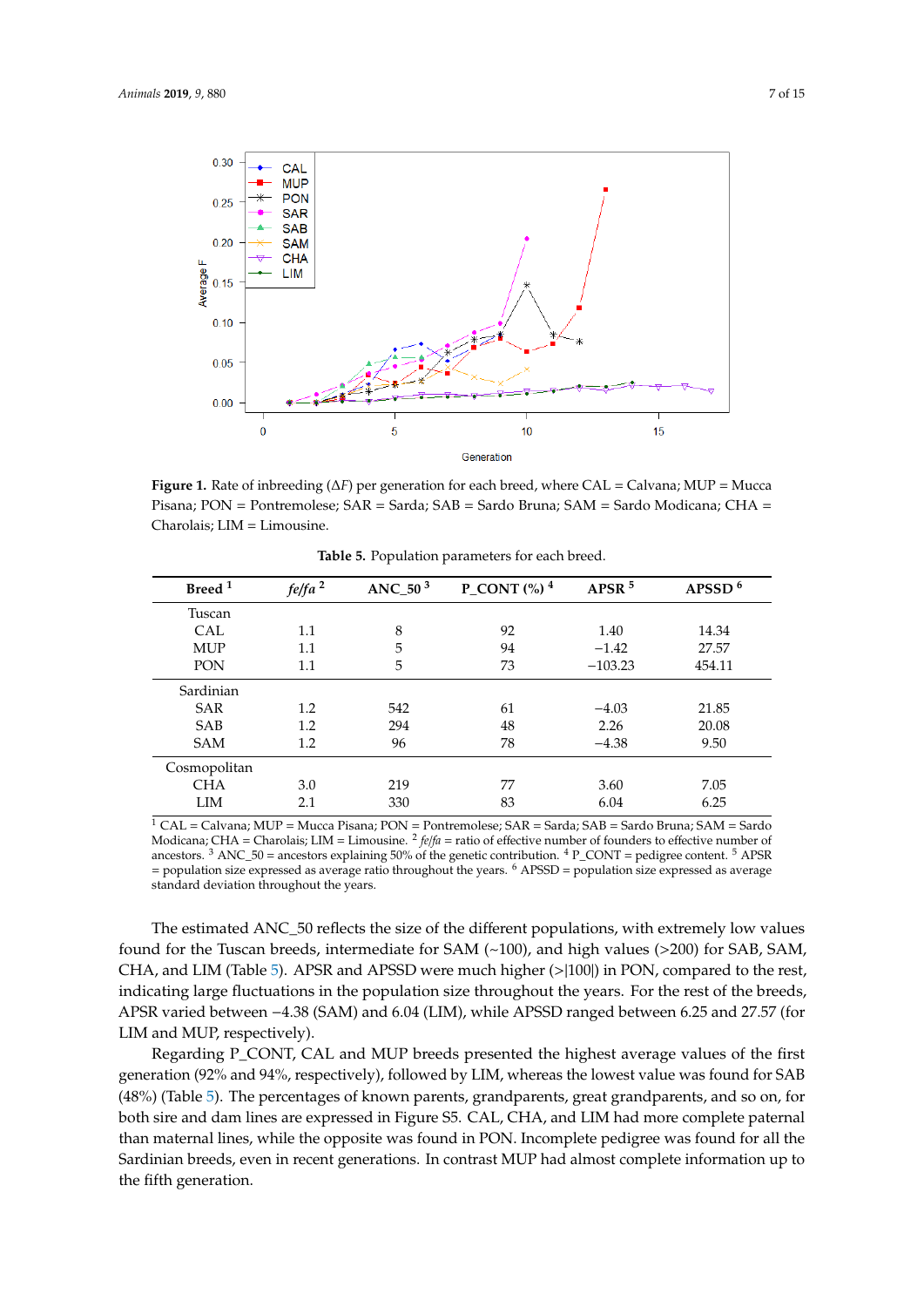<span id="page-6-0"></span>

Figure 1. Rate of inbreeding ( $\Delta F$ ) per generation for each breed, where CAL = Calvana; MUP = Mucca Pisana; PON = Pontremolese; SAR = Sarda; SAB = Sardo Bruna; SAM = Sardo Modicana; CHA = Pisana; PON = Pontremolese; SAR = Sarda; SAB = Sardo Bruna; SAM = Sardo Modicana; CHA = Charolais; LIM = Limousine. Charolais; LIM = Limousine.

<span id="page-6-1"></span>

| Breed <sup>1</sup> | fe/fa <sup>2</sup> | ANC_50 $3$ | <b>P_CONT</b> $\binom{0}{0}$ <sup>4</sup> | APSR <sup>5</sup> | APSSD $6$ |
|--------------------|--------------------|------------|-------------------------------------------|-------------------|-----------|
| Tuscan             |                    |            |                                           |                   |           |
| CAL                | 1.1                | 8          | 92                                        | 1.40              | 14.34     |
| <b>MUP</b>         | 1.1                | 5          | 94                                        | $-1.42$           | 27.57     |
| PON                | 1.1                | 5          | 73                                        | $-103.23$         | 454.11    |
| Sardinian          |                    |            |                                           |                   |           |
| <b>SAR</b>         | $1.2\,$            | 542        | 61                                        | $-4.03$           | 21.85     |
| <b>SAB</b>         | $1.2\,$            | 294        | 48                                        | 2.26              | 20.08     |
| <b>SAM</b>         | 1.2                | 96         | 78                                        | $-4.38$           | 9.50      |
| Cosmopolitan       |                    |            |                                           |                   |           |
| <b>CHA</b>         | 3.0                | 219        | 77                                        | 3.60              | 7.05      |
| LIM                | 2.1                | 330        | 83                                        | 6.04              | 6.25      |

**Table 5.** Population parameters for each breed.

 $\overline{1}$  CAL = Calvana; MUP = Mucca Pisana; PON = Pontremolese; SAR = Sarda; SAB = Sardo Bruna; SAM = Sardo Modicana; CHA = Charolais; LIM = Limousine. <sup>2</sup> *felfa* = ratio of effective number of founders to effective number of Sardinian = population size expressed as average ratio throughout the years. <sup>6</sup> APSSD = population size expressed as average standard deviation throughout the years. ancestors.  $3$  ANC\_50 = ancestors explaining 50% of the genetic contribution.  $4$  P\_CONT = pedigree content.  $5$  APSR

The estimated ANC\_50 reflects the size of the different populations, with extremely low values found for the Tuscan breeds, intermediate for SAM  $(\sim100)$ , and high values (>200) for SAB, SAM, CH[A](#page-6-1), and LIM (Table 5). APSR and APSSD were much higher (>|100|) in PON, compared to the rest, indicating large fluctuations in the population size throughout the years. For the rest of the breeds, APSR varied between -4.38 (SAM) and 6.04 (LIM), while APSSD ranged between 6.25 and 27.57 (for LIM and MUP, respectively).

Regarding P\_CONT, CAL and MUP breeds presented the highest average values of the first generation (92% and 94%, respectively), followed by LIM, whereas the lowest value was found for SAB (48%) (Table 5). The percentages of known parents, grandparents, great grandparents, and so on, for than maternal lines, while the opposite was found in PON. Incomplete pedigree was found for all the Sardinian breeds, even in recent generations. In contrast MUP had almost complete information up to the fifth generation. Approximately in Pontage were much higher ( $\frac{1}{n}$ ) in Pontage set,  $\frac{1}{n}$ both sire and dam lines are expressed in Figure S5. CAL, CHA, and LIM had more complete paternal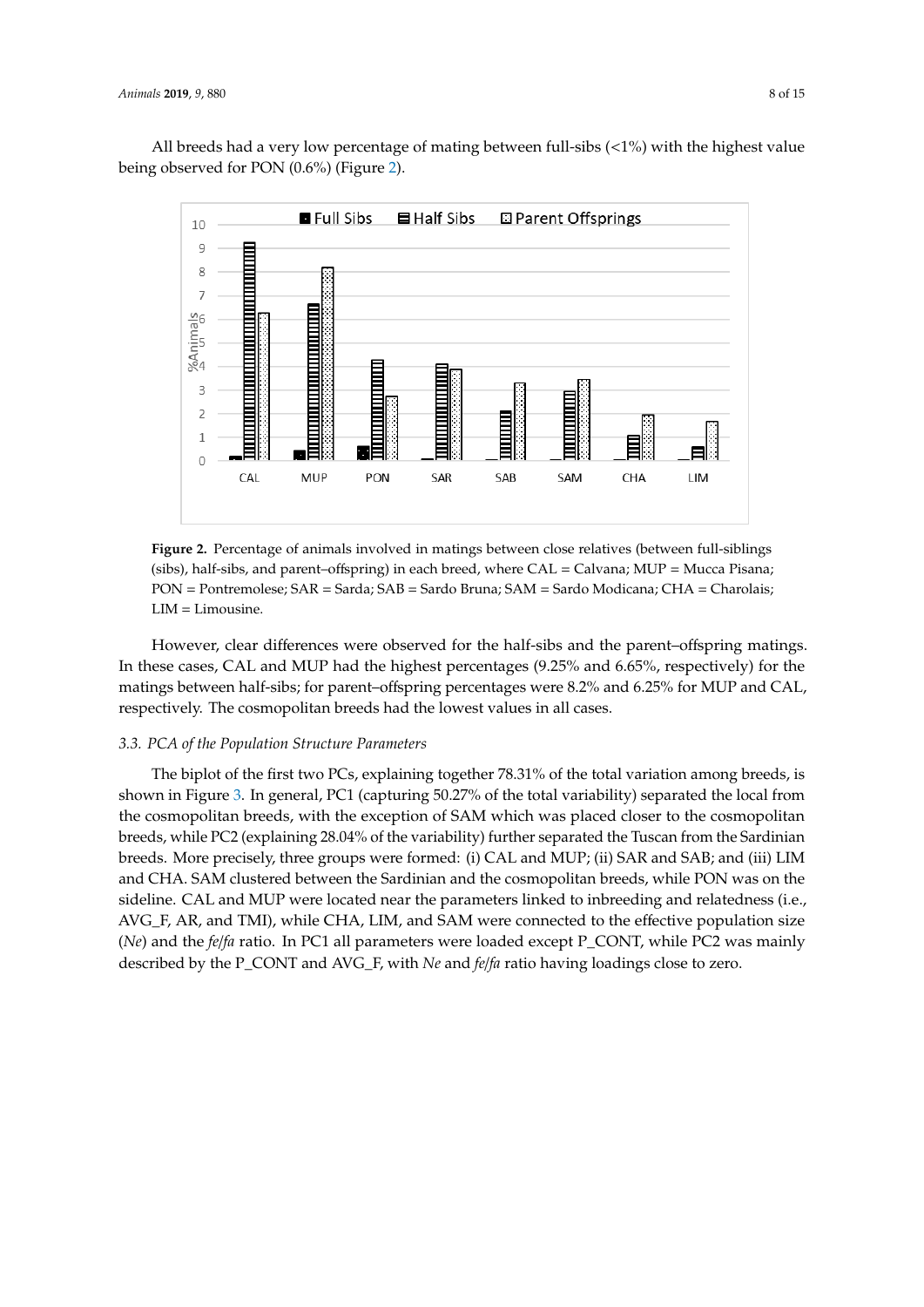All breeds had a very low percentage of mating between full-sibs (<1%) with the highest value being observed for PON (0.6%) (Figure [2\)](#page-7-0). being observed for PON (0.6%) (Figure 2). information up to the fifth generation. All breeds had a very low percentage of mating between full-sibs (<1%) with the highest value

<span id="page-7-0"></span>

**Figure 2.** Percentage of animals involved in matings between close relatives (between full-siblings **Figure 2.** Percentage of animals involved in matings between close relatives (between full-siblings (sibs), half-sibs, and parent–offspring) in each breed, where CAL = Calvana; MUP = Mucca Pisana; (sibs), half-sibs, and parent–offspring) in each breed, where CAL = Calvana; MUP = Mucca Pisana; PON = Pontremolese; SAR = Sarda; SAB = Sardo Bruna; SAM = Sardo Modicana; CHA = Charolais; PON = Pontremolese; SAR = Sarda; SAB = Sardo Bruna; SAM = Sardo Modicana; CHA = Charolais; LIM = Limousine. LIM = Limousine.

However, clear differences were observed for the half-sibs and the parent–offspring matings. these cases, CAL and MUP had the highest percentages (9.25% and 6.65%, respectively) for the In these cases, CAL and MUP had the highest percentages (9.25% and 6.65%, respectively) for the matings between half-sibs; for parent–offspring percentages were 8.2% and 6.25% for MUP and CAL, matings between half-sibs; for parent–offspring percentages were 8.2% and 6.25% for MUP and CAL, respectively. The cosmopolitan breeds had the lowest values in all cases. respectively. The cosmopolitan breeds had the lowest values in all cases.

## *3.3. PCA of the Population Structure Parameters 3.3. PCA of the Population Structure Parameters*

The biplot of the first two PCs, explaining together 78.31% of the total variation among breeds, The biplot of the first two PCs, explaining together 78.31% of the total variation among breeds, is shown in Fig[ur](#page-8-0)e 3. In general, PC1 (capturing 50.27% of the total variability) separated the local from the cosmopolitan breeds, with the exception of SAM which was placed closer to the cosmopolitan breeds, while PC2 (explaining 28.04% of the variability) further separated the Tuscan from the Sardinian breeds. More precisely, three groups were formed: (i)  $\mathsf{CAL}$  and MUP; (ii) SAR and SAB; and (iii)  $\mathsf{LIM}$ and CHA. SAM clustered between the Sardinian and the cosmopolitan breeds, while PON was on the sideline. CAL and MUP were located near the parameters linked to inbreeding and relatedness (i.e., AVG\_F, AR, and TMI), while CHA, LIM, and SAM were connected to the effective population size (*Ne*) and the *fe/fa* ratio. In PC1 all parameters were loaded except P\_CONT, while PC2 was mainly described by the P\_CONT and AVG\_F, with *Ne* and *fe|fa* ratio having loadings close to zero.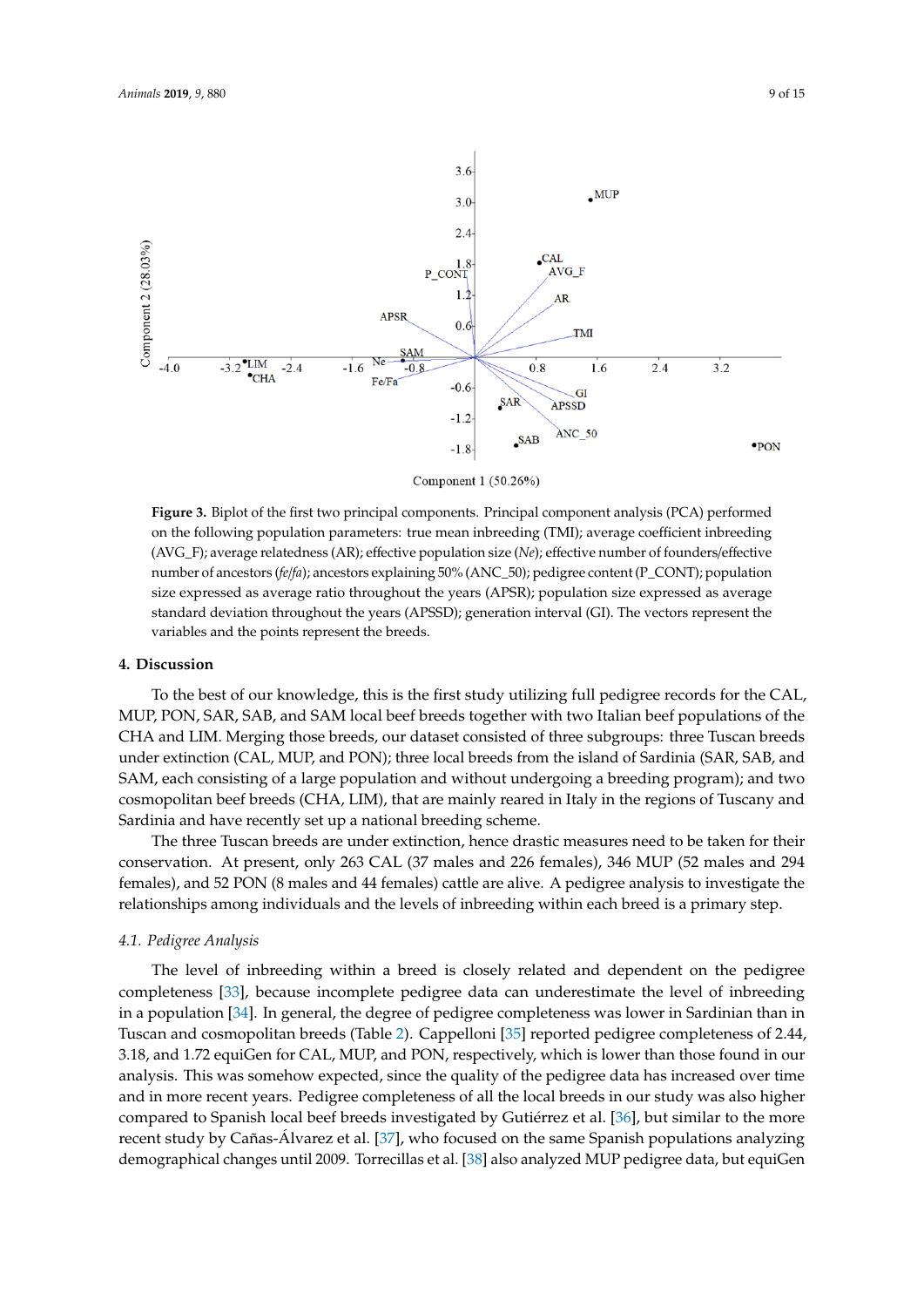<span id="page-8-0"></span>

Component 1 (50.26%)

**Figure 3.** Biplot of the first two principal components. Principal component analysis (PCA) performed **Figure 3.** Biplot of the first two principal components. Principal component analysis (PCA) performed on the following population parameters: true mean inbreeding (TMI); average coefficient inbreeding on the following population parameters: true mean inbreeding (TMI); average coefficient inbreeding (AVG\_F); average relatedness (AR); effective population size (*Ne*); effective number of (AVG\_F); average relatedness (AR); effective population size (*Ne*); effective number of founders/effective number of ancestors (fe/fa); ancestors explaining 50% (ANC\_50); pedigree content (P\_CONT); population size expressed as average ratio throughout the years (APSR); population size expressed as average standard deviation throughout the years (APSSD); generation interval (GI). The vectors represent the variables and the points represent the breeds.

#### **4. Discussion 4. Discussion**

To the best of our knowledge, this is the first study utilizing full pedigree records for the CAL, To the best of our knowledge, this is the first study utilizing full pedigree records for the CAL, MUP, PON, SAR, SAB, and SAM local beef breeds together with two Italian beef populations of the MUP, PON, SAR, SAB, and SAM local beef breeds together with two Italian beef populations of the CHA and LIM. Merging those breeds, our dataset consisted of three subgroups: three Tuscan breeds CHA and LIM. Merging those breeds, our dataset consisted of three subgroups: three Tuscan breeds under extinction (CAL, MUP, and PON); three local breeds from the island of Sardinia (SAR, SAB, under extinction (CAL, MUP, and PON); three local breeds from the island of Sardinia (SAR, SAB, and SAM, each consisting of a large population and without undergoing a breeding program); and two cosmopolitan beef breeds (CHA, LIM), that are mainly reared in Italy in the regions of Tuscany and and Sardinia and have recently set up a national breeding scheme. Sardinia and have recently set up a national breeding scheme.

The three Tuscan breeds are under extinction, hence drastic measures need to be taken for their The three Tuscan breeds are under extinction, hence drastic measures need to be taken for their conservation. At present, only 263 CAL (37 males and 226 females), 346 MUP (52 males and 294 conservation. At present, only 263 CAL (37 males and 226 females), 346 MUP (52 males and 294 females), and  $52 PON (8 \text{ m})$  and  $44 f/cm$  (a) cattle are alive. A pedigree analysis to investigate the investigate the females), and 52 PON (8 males and 44 females) cattle are alive. A pedigree analysis to investigate the relationships among individuals and the levels of inbreeding within each breed is a primary step.

# *4.1. Pedigree Analysis 4.1. Pedigree Analysis*

The level of inbreeding within a breed is closely related and dependent on the pedigree The level of inbreeding within a breed is closely related and dependent on the pedigree completeness [\[33\]](#page-13-7), because incomplete pedigree data can underestimate the level of inbreeding in a population [\[34\]](#page-13-8). In general, the degree of pedigree completeness was lower in Sardinian than in Tuscan and cosmopolitan breeds (Table [2\)](#page-4-0). Cappelloni [\[35\]](#page-13-9) reported pedigree completeness of 2.44, 3.18, and 1.72 equiGen for CAL, MUP, and PON, respectively, which is lower than those found in our analysis. This was somehow expected, since the quality of the pedigree data has increased over time and in more recent years. Pedigree completeness of all the local breeds in our study was also higher compared to Spanish local beef breeds investigated by Gutiérrez et al. [\[36\]](#page-13-10), but similar to the more recent study by Cañas-Alvarez et al. [\[37\]](#page-13-11), who focused on the same Spanish populations analyzing demographical changes until 2009. Torrecillas et al. [\[38\]](#page-13-12) also analyzed MUP pedigree data, but equiGen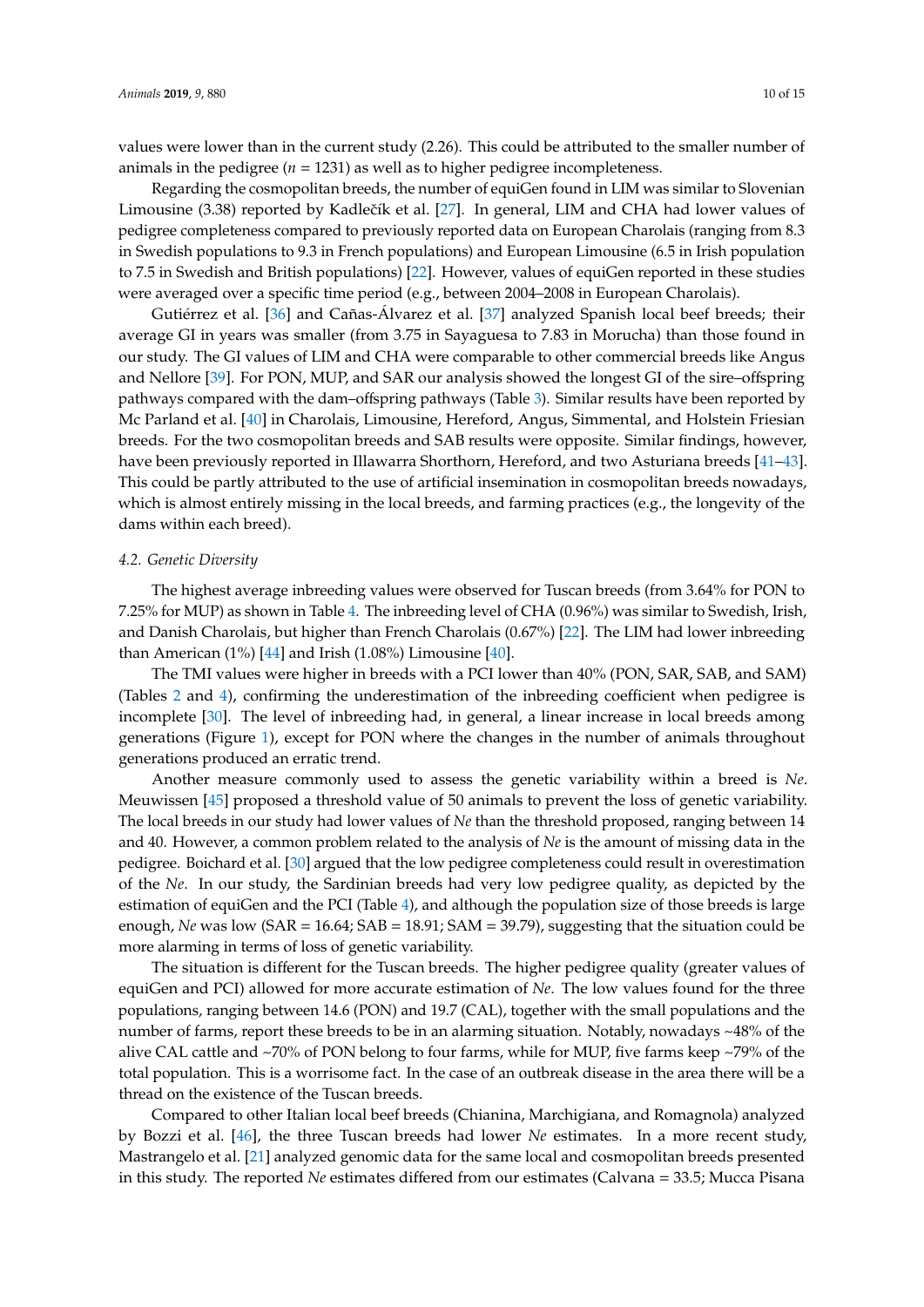values were lower than in the current study (2.26). This could be attributed to the smaller number of animals in the pedigree ( $n = 1231$ ) as well as to higher pedigree incompleteness.

Regarding the cosmopolitan breeds, the number of equiGen found in LIM was similar to Slovenian Limousine (3.38) reported by Kadlečík et al. [\[27\]](#page-13-1). In general, LIM and CHA had lower values of pedigree completeness compared to previously reported data on European Charolais (ranging from 8.3 in Swedish populations to 9.3 in French populations) and European Limousine (6.5 in Irish population to 7.5 in Swedish and British populations) [\[22\]](#page-12-15). However, values of equiGen reported in these studies were averaged over a specific time period (e.g., between 2004–2008 in European Charolais).

Gutiérrez et al. [\[36\]](#page-13-10) and Cañas-Álvarez et al. [\[37\]](#page-13-11) analyzed Spanish local beef breeds; their average GI in years was smaller (from 3.75 in Sayaguesa to 7.83 in Morucha) than those found in our study. The GI values of LIM and CHA were comparable to other commercial breeds like Angus and Nellore [\[39\]](#page-13-13). For PON, MUP, and SAR our analysis showed the longest GI of the sire–offspring pathways compared with the dam–offspring pathways (Table [3\)](#page-5-0). Similar results have been reported by Mc Parland et al. [\[40\]](#page-13-14) in Charolais, Limousine, Hereford, Angus, Simmental, and Holstein Friesian breeds. For the two cosmopolitan breeds and SAB results were opposite. Similar findings, however, have been previously reported in Illawarra Shorthorn, Hereford, and two Asturiana breeds [\[41–](#page-13-15)[43\]](#page-13-16). This could be partly attributed to the use of artificial insemination in cosmopolitan breeds nowadays, which is almost entirely missing in the local breeds, and farming practices (e.g., the longevity of the dams within each breed).

#### *4.2. Genetic Diversity*

The highest average inbreeding values were observed for Tuscan breeds (from 3.64% for PON to 7.25% for MUP) as shown in Table [4.](#page-5-1) The inbreeding level of CHA (0.96%) was similar to Swedish, Irish, and Danish Charolais, but higher than French Charolais (0.67%) [\[22\]](#page-12-15). The LIM had lower inbreeding than American  $(1\%)$  [\[44\]](#page-13-17) and Irish  $(1.08\%)$  Limousine [\[40\]](#page-13-14).

The TMI values were higher in breeds with a PCI lower than 40% (PON, SAR, SAB, and SAM) (Tables [2](#page-4-0) and [4\)](#page-5-1), confirming the underestimation of the inbreeding coefficient when pedigree is incomplete [\[30\]](#page-13-4). The level of inbreeding had, in general, a linear increase in local breeds among generations (Figure [1\)](#page-6-0), except for PON where the changes in the number of animals throughout generations produced an erratic trend.

Another measure commonly used to assess the genetic variability within a breed is *Ne*. Meuwissen [\[45\]](#page-13-18) proposed a threshold value of 50 animals to prevent the loss of genetic variability. The local breeds in our study had lower values of *Ne* than the threshold proposed, ranging between 14 and 40. However, a common problem related to the analysis of *Ne* is the amount of missing data in the pedigree. Boichard et al. [\[30\]](#page-13-4) argued that the low pedigree completeness could result in overestimation of the *Ne*. In our study, the Sardinian breeds had very low pedigree quality, as depicted by the estimation of equiGen and the PCI (Table [4\)](#page-5-1), and although the population size of those breeds is large enough, *Ne* was low (SAR = 16.64; SAB = 18.91; SAM = 39.79), suggesting that the situation could be more alarming in terms of loss of genetic variability.

The situation is different for the Tuscan breeds. The higher pedigree quality (greater values of equiGen and PCI) allowed for more accurate estimation of *Ne*. The low values found for the three populations, ranging between 14.6 (PON) and 19.7 (CAL), together with the small populations and the number of farms, report these breeds to be in an alarming situation. Notably, nowadays ~48% of the alive CAL cattle and ~70% of PON belong to four farms, while for MUP, five farms keep ~79% of the total population. This is a worrisome fact. In the case of an outbreak disease in the area there will be a thread on the existence of the Tuscan breeds.

Compared to other Italian local beef breeds (Chianina, Marchigiana, and Romagnola) analyzed by Bozzi et al. [\[46\]](#page-13-19), the three Tuscan breeds had lower *Ne* estimates. In a more recent study, Mastrangelo et al. [\[21\]](#page-12-14) analyzed genomic data for the same local and cosmopolitan breeds presented in this study. The reported *Ne* estimates differed from our estimates (Calvana = 33.5; Mucca Pisana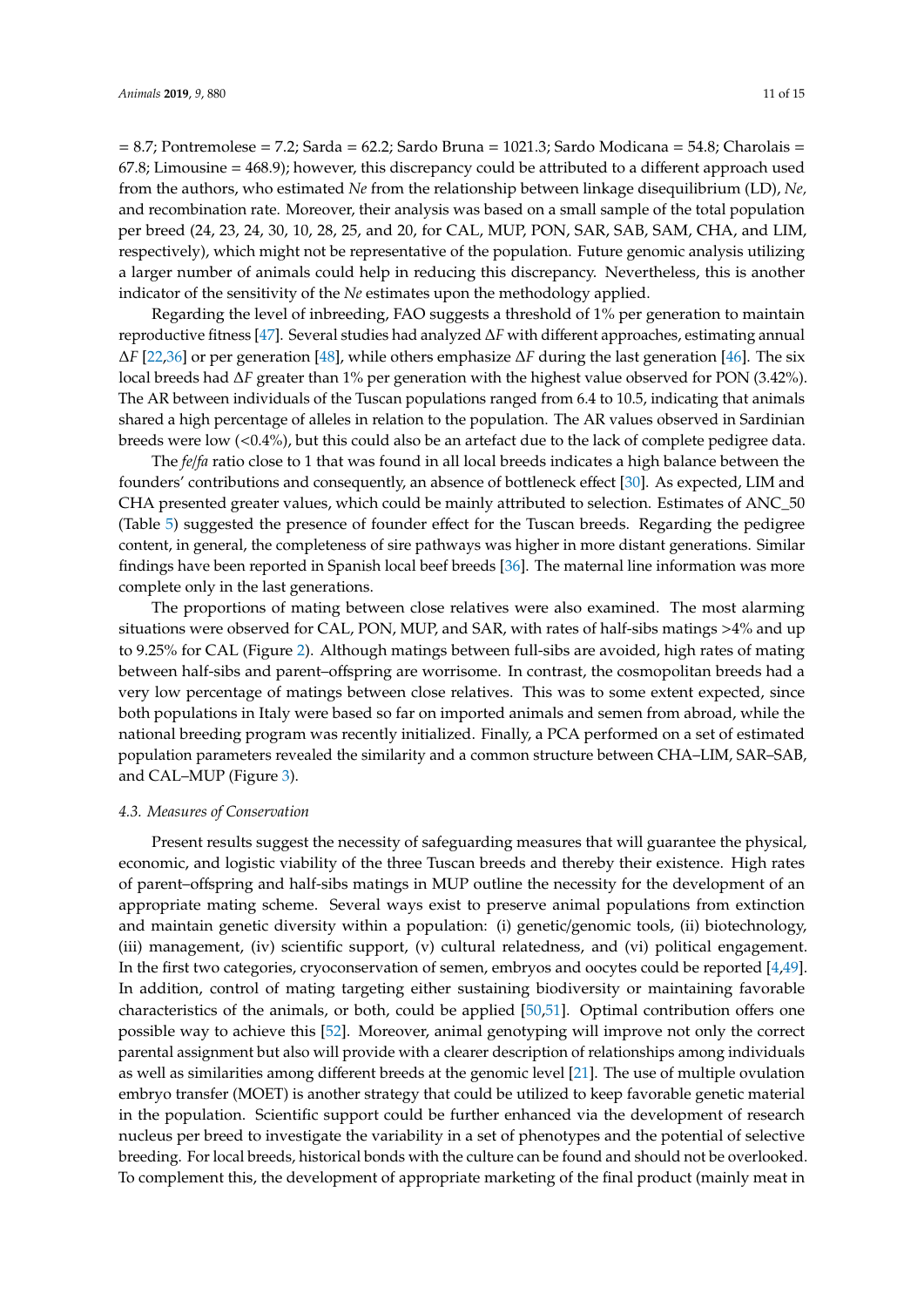= 8.7; Pontremolese = 7.2; Sarda = 62.2; Sardo Bruna = 1021.3; Sardo Modicana = 54.8; Charolais = 67.8; Limousine = 468.9); however, this discrepancy could be attributed to a different approach used from the authors, who estimated *Ne* from the relationship between linkage disequilibrium (LD), *Ne,* and recombination rate. Moreover, their analysis was based on a small sample of the total population per breed (24, 23, 24, 30, 10, 28, 25, and 20, for CAL, MUP, PON, SAR, SAB, SAM, CHA, and LIM, respectively), which might not be representative of the population. Future genomic analysis utilizing a larger number of animals could help in reducing this discrepancy. Nevertheless, this is another indicator of the sensitivity of the *Ne* estimates upon the methodology applied.

Regarding the level of inbreeding, FAO suggests a threshold of 1% per generation to maintain reproductive fitness [\[47\]](#page-13-20). Several studies had analyzed ∆*F* with different approaches, estimating annual ∆*F* [\[22](#page-12-15)[,36\]](#page-13-10) or per generation [\[48\]](#page-13-21), while others emphasize ∆*F* during the last generation [\[46\]](#page-13-19). The six local breeds had ∆*F* greater than 1% per generation with the highest value observed for PON (3.42%). The AR between individuals of the Tuscan populations ranged from 6.4 to 10.5, indicating that animals shared a high percentage of alleles in relation to the population. The AR values observed in Sardinian breeds were low (<0.4%), but this could also be an artefact due to the lack of complete pedigree data.

The *fe*/*fa* ratio close to 1 that was found in all local breeds indicates a high balance between the founders' contributions and consequently, an absence of bottleneck effect [\[30\]](#page-13-4). As expected, LIM and CHA presented greater values, which could be mainly attributed to selection. Estimates of ANC\_50 (Table [5\)](#page-6-1) suggested the presence of founder effect for the Tuscan breeds. Regarding the pedigree content, in general, the completeness of sire pathways was higher in more distant generations. Similar findings have been reported in Spanish local beef breeds [\[36\]](#page-13-10). The maternal line information was more complete only in the last generations.

The proportions of mating between close relatives were also examined. The most alarming situations were observed for CAL, PON, MUP, and SAR, with rates of half-sibs matings >4% and up to 9.25% for CAL (Figure [2\)](#page-7-0). Although matings between full-sibs are avoided, high rates of mating between half-sibs and parent–offspring are worrisome. In contrast, the cosmopolitan breeds had a very low percentage of matings between close relatives. This was to some extent expected, since both populations in Italy were based so far on imported animals and semen from abroad, while the national breeding program was recently initialized. Finally, a PCA performed on a set of estimated population parameters revealed the similarity and a common structure between CHA–LIM, SAR–SAB, and CAL–MUP (Figure [3\)](#page-8-0).

#### *4.3. Measures of Conservation*

Present results suggest the necessity of safeguarding measures that will guarantee the physical, economic, and logistic viability of the three Tuscan breeds and thereby their existence. High rates of parent–offspring and half-sibs matings in MUP outline the necessity for the development of an appropriate mating scheme. Several ways exist to preserve animal populations from extinction and maintain genetic diversity within a population: (i) genetic/genomic tools, (ii) biotechnology, (iii) management, (iv) scientific support, (v) cultural relatedness, and (vi) political engagement. In the first two categories, cryoconservation of semen, embryos and oocytes could be reported [\[4,](#page-11-3)[49\]](#page-13-22). In addition, control of mating targeting either sustaining biodiversity or maintaining favorable characteristics of the animals, or both, could be applied [\[50,](#page-13-23)[51\]](#page-14-0). Optimal contribution offers one possible way to achieve this [\[52\]](#page-14-1). Moreover, animal genotyping will improve not only the correct parental assignment but also will provide with a clearer description of relationships among individuals as well as similarities among different breeds at the genomic level [\[21\]](#page-12-14). The use of multiple ovulation embryo transfer (MOET) is another strategy that could be utilized to keep favorable genetic material in the population. Scientific support could be further enhanced via the development of research nucleus per breed to investigate the variability in a set of phenotypes and the potential of selective breeding. For local breeds, historical bonds with the culture can be found and should not be overlooked. To complement this, the development of appropriate marketing of the final product (mainly meat in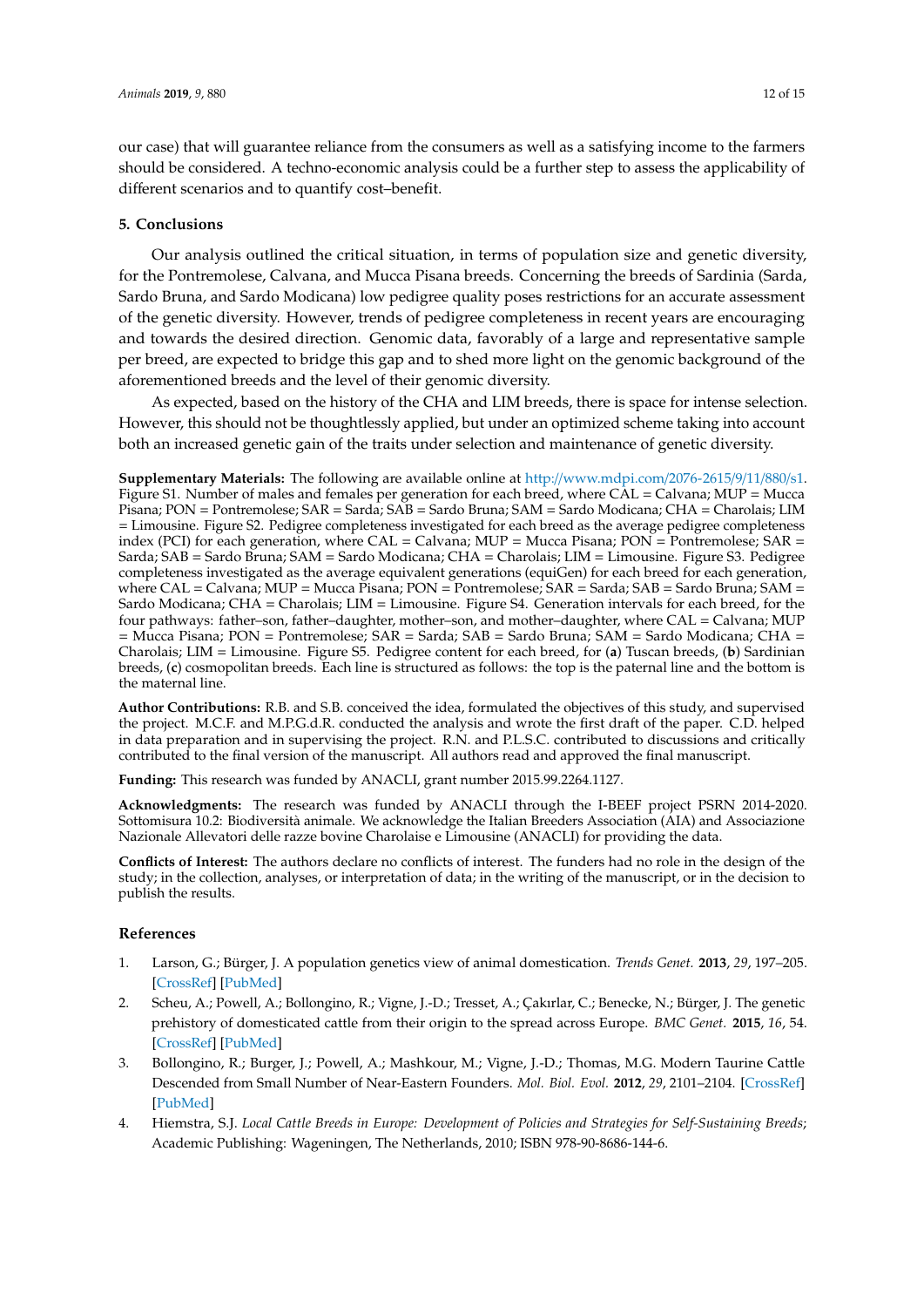our case) that will guarantee reliance from the consumers as well as a satisfying income to the farmers should be considered. A techno-economic analysis could be a further step to assess the applicability of different scenarios and to quantify cost–benefit.

#### **5. Conclusions**

Our analysis outlined the critical situation, in terms of population size and genetic diversity, for the Pontremolese, Calvana, and Mucca Pisana breeds. Concerning the breeds of Sardinia (Sarda, Sardo Bruna, and Sardo Modicana) low pedigree quality poses restrictions for an accurate assessment of the genetic diversity. However, trends of pedigree completeness in recent years are encouraging and towards the desired direction. Genomic data, favorably of a large and representative sample per breed, are expected to bridge this gap and to shed more light on the genomic background of the aforementioned breeds and the level of their genomic diversity.

As expected, based on the history of the CHA and LIM breeds, there is space for intense selection. However, this should not be thoughtlessly applied, but under an optimized scheme taking into account both an increased genetic gain of the traits under selection and maintenance of genetic diversity.

**Supplementary Materials:** The following are available online at http://[www.mdpi.com](http://www.mdpi.com/2076-2615/9/11/880/s1)/2076-2615/9/11/880/s1. Figure S1. Number of males and females per generation for each breed, where CAL = Calvana; MUP = Mucca Pisana; PON = Pontremolese; SAR = Sarda; SAB = Sardo Bruna; SAM = Sardo Modicana; CHA = Charolais; LIM = Limousine. Figure S2. Pedigree completeness investigated for each breed as the average pedigree completeness index (PCI) for each generation, where  $CAL = Calvana$ ;  $MUP = Mucca$  Pisana;  $PON = Pontremoles$ ;  $SAR =$ Sarda; SAB = Sardo Bruna; SAM = Sardo Modicana; CHA = Charolais; LIM = Limousine. Figure S3. Pedigree completeness investigated as the average equivalent generations (equiGen) for each breed for each generation, where  $CAL = Calvana$ ;  $MUP = Mucca$  Pisana;  $PON = Pontremolese$ ;  $SAR = Sarda$ ;  $SAB = Sardo Bruna$ ;  $SAM =$ Sardo Modicana; CHA = Charolais; LIM = Limousine. Figure S4. Generation intervals for each breed, for the four pathways: father–son, father–daughter, mother–son, and mother–daughter, where CAL = Calvana; MUP = Mucca Pisana; PON = Pontremolese; SAR = Sarda; SAB = Sardo Bruna; SAM = Sardo Modicana; CHA = Charolais; LIM = Limousine. Figure S5. Pedigree content for each breed, for (**a**) Tuscan breeds, (**b**) Sardinian breeds, (**c**) cosmopolitan breeds. Each line is structured as follows: the top is the paternal line and the bottom is the maternal line.

**Author Contributions:** R.B. and S.B. conceived the idea, formulated the objectives of this study, and supervised the project. M.C.F. and M.P.G.d.R. conducted the analysis and wrote the first draft of the paper. C.D. helped in data preparation and in supervising the project. R.N. and P.L.S.C. contributed to discussions and critically contributed to the final version of the manuscript. All authors read and approved the final manuscript.

**Funding:** This research was funded by ANACLI, grant number 2015.99.2264.1127.

**Acknowledgments:** The research was funded by ANACLI through the I-BEEF project PSRN 2014-2020. Sottomisura 10.2: Biodiversità animale. We acknowledge the Italian Breeders Association (AIA) and Associazione Nazionale Allevatori delle razze bovine Charolaise e Limousine (ANACLI) for providing the data.

**Conflicts of Interest:** The authors declare no conflicts of interest. The funders had no role in the design of the study; in the collection, analyses, or interpretation of data; in the writing of the manuscript, or in the decision to publish the results.

#### **References**

- <span id="page-11-0"></span>1. Larson, G.; Bürger, J. A population genetics view of animal domestication. *Trends Genet.* **2013**, *29*, 197–205. [\[CrossRef\]](http://dx.doi.org/10.1016/j.tig.2013.01.003) [\[PubMed\]](http://www.ncbi.nlm.nih.gov/pubmed/23415592)
- <span id="page-11-1"></span>2. Scheu, A.; Powell, A.; Bollongino, R.; Vigne, J.-D.; Tresset, A.; Çakırlar, C.; Benecke, N.; Bürger, J. The genetic prehistory of domesticated cattle from their origin to the spread across Europe. *BMC Genet.* **2015**, *16*, 54. [\[CrossRef\]](http://dx.doi.org/10.1186/s12863-015-0203-2) [\[PubMed\]](http://www.ncbi.nlm.nih.gov/pubmed/26018295)
- <span id="page-11-2"></span>3. Bollongino, R.; Burger, J.; Powell, A.; Mashkour, M.; Vigne, J.-D.; Thomas, M.G. Modern Taurine Cattle Descended from Small Number of Near-Eastern Founders. *Mol. Biol. Evol.* **2012**, *29*, 2101–2104. [\[CrossRef\]](http://dx.doi.org/10.1093/molbev/mss092) [\[PubMed\]](http://www.ncbi.nlm.nih.gov/pubmed/22422765)
- <span id="page-11-3"></span>4. Hiemstra, S.J. *Local Cattle Breeds in Europe: Development of Policies and Strategies for Self-Sustaining Breeds*; Academic Publishing: Wageningen, The Netherlands, 2010; ISBN 978-90-8686-144-6.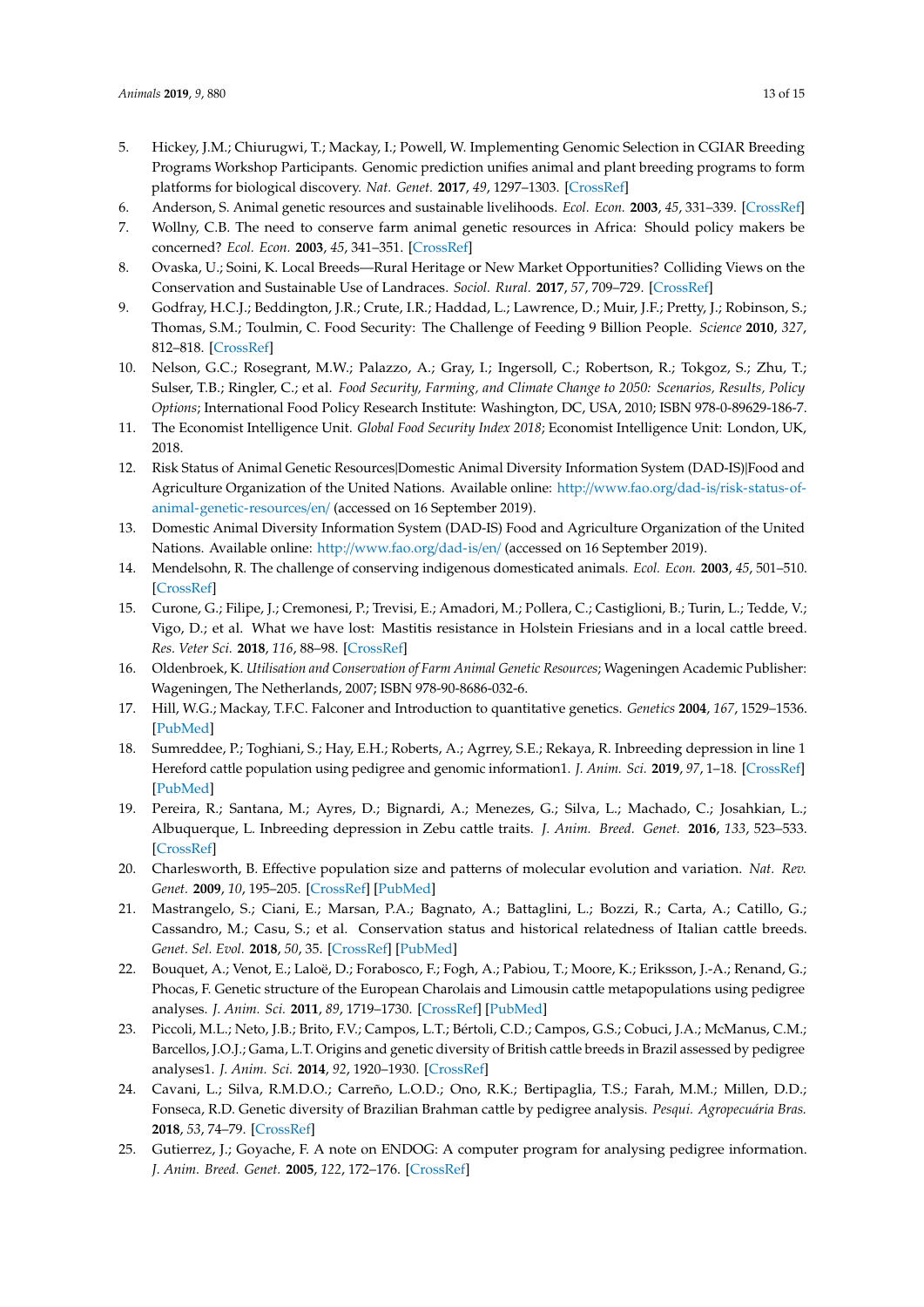- <span id="page-12-0"></span>5. Hickey, J.M.; Chiurugwi, T.; Mackay, I.; Powell, W. Implementing Genomic Selection in CGIAR Breeding Programs Workshop Participants. Genomic prediction unifies animal and plant breeding programs to form platforms for biological discovery. *Nat. Genet.* **2017**, *49*, 1297–1303. [\[CrossRef\]](http://dx.doi.org/10.1038/ng.3920)
- <span id="page-12-1"></span>6. Anderson, S. Animal genetic resources and sustainable livelihoods. *Ecol. Econ.* **2003**, *45*, 331–339. [\[CrossRef\]](http://dx.doi.org/10.1016/S0921-8009(03)00088-0)
- 7. Wollny, C.B. The need to conserve farm animal genetic resources in Africa: Should policy makers be concerned? *Ecol. Econ.* **2003**, *45*, 341–351. [\[CrossRef\]](http://dx.doi.org/10.1016/S0921-8009(03)00089-2)
- <span id="page-12-2"></span>8. Ovaska, U.; Soini, K. Local Breeds—Rural Heritage or New Market Opportunities? Colliding Views on the Conservation and Sustainable Use of Landraces. *Sociol. Rural.* **2017**, *57*, 709–729. [\[CrossRef\]](http://dx.doi.org/10.1111/soru.12140)
- <span id="page-12-3"></span>9. Godfray, H.C.J.; Beddington, J.R.; Crute, I.R.; Haddad, L.; Lawrence, D.; Muir, J.F.; Pretty, J.; Robinson, S.; Thomas, S.M.; Toulmin, C. Food Security: The Challenge of Feeding 9 Billion People. *Science* **2010**, *327*, 812–818. [\[CrossRef\]](http://dx.doi.org/10.1126/science.1185383)
- 10. Nelson, G.C.; Rosegrant, M.W.; Palazzo, A.; Gray, I.; Ingersoll, C.; Robertson, R.; Tokgoz, S.; Zhu, T.; Sulser, T.B.; Ringler, C.; et al. *Food Security, Farming, and Climate Change to 2050: Scenarios, Results, Policy Options*; International Food Policy Research Institute: Washington, DC, USA, 2010; ISBN 978-0-89629-186-7.
- <span id="page-12-4"></span>11. The Economist Intelligence Unit. *Global Food Security Index 2018*; Economist Intelligence Unit: London, UK, 2018.
- <span id="page-12-5"></span>12. Risk Status of Animal Genetic Resources|Domestic Animal Diversity Information System (DAD-IS)|Food and Agriculture Organization of the United Nations. Available online: http://www.fao.org/dad-is/[risk-status-of](http://www.fao.org/dad-is/risk-status-of-animal-genetic-resources/en/)[animal-genetic-resources](http://www.fao.org/dad-is/risk-status-of-animal-genetic-resources/en/)/en/ (accessed on 16 September 2019).
- <span id="page-12-6"></span>13. Domestic Animal Diversity Information System (DAD-IS) Food and Agriculture Organization of the United Nations. Available online: http://[www.fao.org](http://www.fao.org/dad-is/en/)/dad-is/en/ (accessed on 16 September 2019).
- <span id="page-12-7"></span>14. Mendelsohn, R. The challenge of conserving indigenous domesticated animals. *Ecol. Econ.* **2003**, *45*, 501–510. [\[CrossRef\]](http://dx.doi.org/10.1016/S0921-8009(03)00100-9)
- <span id="page-12-8"></span>15. Curone, G.; Filipe, J.; Cremonesi, P.; Trevisi, E.; Amadori, M.; Pollera, C.; Castiglioni, B.; Turin, L.; Tedde, V.; Vigo, D.; et al. What we have lost: Mastitis resistance in Holstein Friesians and in a local cattle breed. *Res. Veter Sci.* **2018**, *116*, 88–98. [\[CrossRef\]](http://dx.doi.org/10.1016/j.rvsc.2017.11.020)
- <span id="page-12-9"></span>16. Oldenbroek, K. *Utilisation and Conservation of Farm Animal Genetic Resources*; Wageningen Academic Publisher: Wageningen, The Netherlands, 2007; ISBN 978-90-8686-032-6.
- <span id="page-12-10"></span>17. Hill, W.G.; Mackay, T.F.C. Falconer and Introduction to quantitative genetics. *Genetics* **2004**, *167*, 1529–1536. [\[PubMed\]](http://www.ncbi.nlm.nih.gov/pubmed/15342495)
- <span id="page-12-11"></span>18. Sumreddee, P.; Toghiani, S.; Hay, E.H.; Roberts, A.; Agrrey, S.E.; Rekaya, R. Inbreeding depression in line 1 Hereford cattle population using pedigree and genomic information1. *J. Anim. Sci.* **2019**, *97*, 1–18. [\[CrossRef\]](http://dx.doi.org/10.1093/jas/sky385) [\[PubMed\]](http://www.ncbi.nlm.nih.gov/pubmed/30304409)
- <span id="page-12-12"></span>19. Pereira, R.; Santana, M.; Ayres, D.; Bignardi, A.; Menezes, G.; Silva, L.; Machado, C.; Josahkian, L.; Albuquerque, L. Inbreeding depression in Zebu cattle traits. *J. Anim. Breed. Genet.* **2016**, *133*, 523–533. [\[CrossRef\]](http://dx.doi.org/10.1111/jbg.12219)
- <span id="page-12-13"></span>20. Charlesworth, B. Effective population size and patterns of molecular evolution and variation. *Nat. Rev. Genet.* **2009**, *10*, 195–205. [\[CrossRef\]](http://dx.doi.org/10.1038/nrg2526) [\[PubMed\]](http://www.ncbi.nlm.nih.gov/pubmed/19204717)
- <span id="page-12-14"></span>21. Mastrangelo, S.; Ciani, E.; Marsan, P.A.; Bagnato, A.; Battaglini, L.; Bozzi, R.; Carta, A.; Catillo, G.; Cassandro, M.; Casu, S.; et al. Conservation status and historical relatedness of Italian cattle breeds. *Genet. Sel. Evol.* **2018**, *50*, 35. [\[CrossRef\]](http://dx.doi.org/10.1186/s12711-018-0406-x) [\[PubMed\]](http://www.ncbi.nlm.nih.gov/pubmed/29940848)
- <span id="page-12-15"></span>22. Bouquet, A.; Venot, E.; Laloë, D.; Forabosco, F.; Fogh, A.; Pabiou, T.; Moore, K.; Eriksson, J.-A.; Renand, G.; Phocas, F. Genetic structure of the European Charolais and Limousin cattle metapopulations using pedigree analyses. *J. Anim. Sci.* **2011**, *89*, 1719–1730. [\[CrossRef\]](http://dx.doi.org/10.2527/jas.2010-3469) [\[PubMed\]](http://www.ncbi.nlm.nih.gov/pubmed/21606443)
- 23. Piccoli, M.L.; Neto, J.B.; Brito, F.V.; Campos, L.T.; Bértoli, C.D.; Campos, G.S.; Cobuci, J.A.; McManus, C.M.; Barcellos, J.O.J.; Gama, L.T. Origins and genetic diversity of British cattle breeds in Brazil assessed by pedigree analyses1. *J. Anim. Sci.* **2014**, *92*, 1920–1930. [\[CrossRef\]](http://dx.doi.org/10.2527/jas.2013-7283)
- <span id="page-12-16"></span>24. Cavani, L.; Silva, R.M.D.O.; Carreño, L.O.D.; Ono, R.K.; Bertipaglia, T.S.; Farah, M.M.; Millen, D.D.; Fonseca, R.D. Genetic diversity of Brazilian Brahman cattle by pedigree analysis. *Pesqui. Agropecuária Bras.* **2018**, *53*, 74–79. [\[CrossRef\]](http://dx.doi.org/10.1590/s0100-204x2018000100008)
- <span id="page-12-17"></span>25. Gutierrez, J.; Goyache, F. A note on ENDOG: A computer program for analysing pedigree information. *J. Anim. Breed. Genet.* **2005**, *122*, 172–176. [\[CrossRef\]](http://dx.doi.org/10.1111/j.1439-0388.2005.00512.x)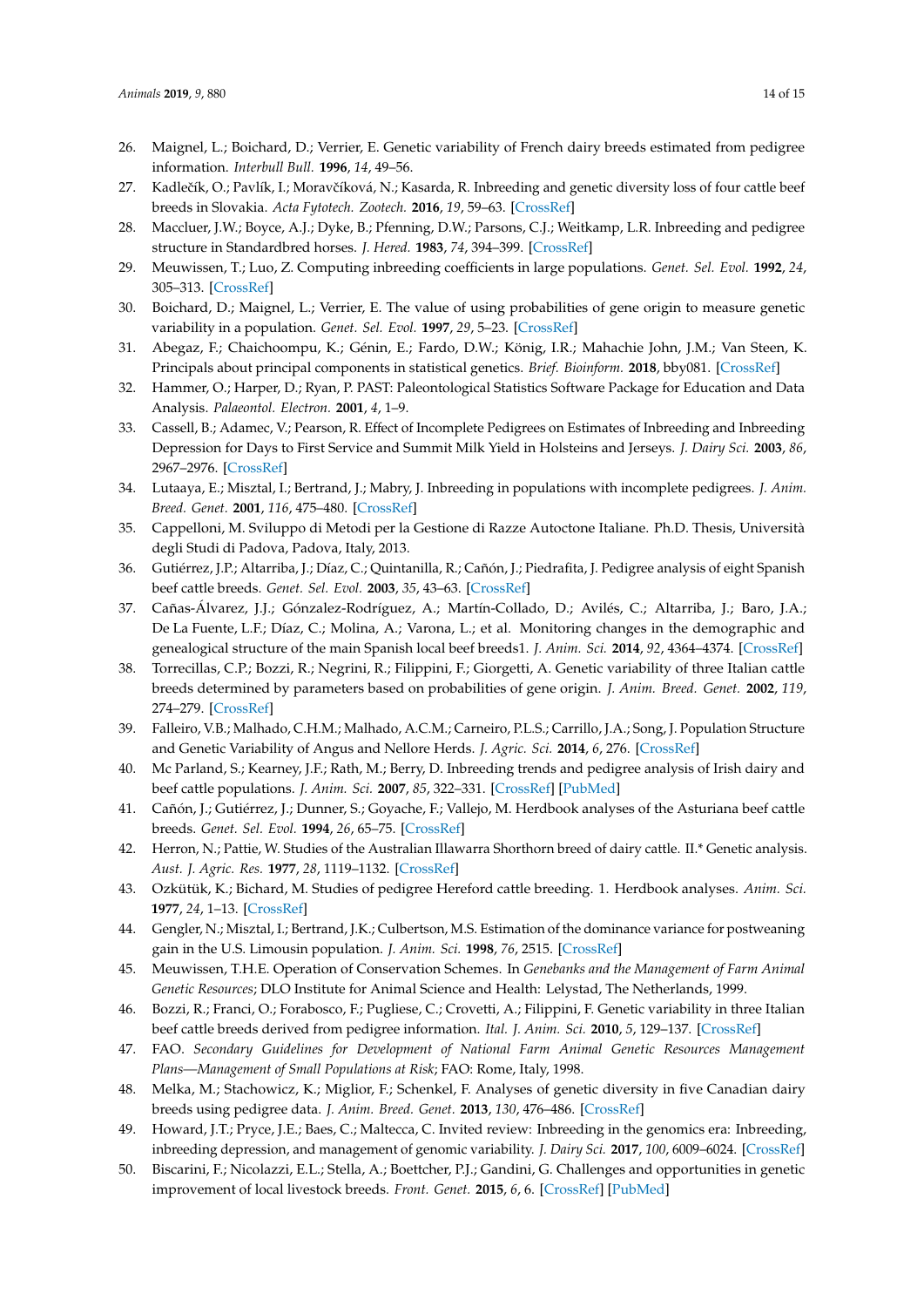- <span id="page-13-0"></span>26. Maignel, L.; Boichard, D.; Verrier, E. Genetic variability of French dairy breeds estimated from pedigree information. *Interbull Bull.* **1996**, *14*, 49–56.
- <span id="page-13-1"></span>27. Kadlečík, O.; Pavlík, I.; Moravčíková, N.; Kasarda, R. Inbreeding and genetic diversity loss of four cattle beef breeds in Slovakia. *Acta Fytotech. Zootech.* **2016**, *19*, 59–63. [\[CrossRef\]](http://dx.doi.org/10.15414/afz.2016.19.02.59-63)
- <span id="page-13-2"></span>28. Maccluer, J.W.; Boyce, A.J.; Dyke, B.; Pfenning, D.W.; Parsons, C.J.; Weitkamp, L.R. Inbreeding and pedigree structure in Standardbred horses. *J. Hered.* **1983**, *74*, 394–399. [\[CrossRef\]](http://dx.doi.org/10.1093/oxfordjournals.jhered.a109824)
- <span id="page-13-3"></span>29. Meuwissen, T.; Luo, Z. Computing inbreeding coefficients in large populations. *Genet. Sel. Evol.* **1992**, *24*, 305–313. [\[CrossRef\]](http://dx.doi.org/10.1186/1297-9686-24-4-305)
- <span id="page-13-4"></span>30. Boichard, D.; Maignel, L.; Verrier, E. The value of using probabilities of gene origin to measure genetic variability in a population. *Genet. Sel. Evol.* **1997**, *29*, 5–23. [\[CrossRef\]](http://dx.doi.org/10.1186/1297-9686-29-1-5)
- <span id="page-13-5"></span>31. Abegaz, F.; Chaichoompu, K.; Génin, E.; Fardo, D.W.; König, I.R.; Mahachie John, J.M.; Van Steen, K. Principals about principal components in statistical genetics. *Brief. Bioinform.* **2018**, bby081. [\[CrossRef\]](http://dx.doi.org/10.1093/bib/bby081)
- <span id="page-13-6"></span>32. Hammer, O.; Harper, D.; Ryan, P. PAST: Paleontological Statistics Software Package for Education and Data Analysis. *Palaeontol. Electron.* **2001**, *4*, 1–9.
- <span id="page-13-7"></span>33. Cassell, B.; Adamec, V.; Pearson, R. Effect of Incomplete Pedigrees on Estimates of Inbreeding and Inbreeding Depression for Days to First Service and Summit Milk Yield in Holsteins and Jerseys. *J. Dairy Sci.* **2003**, *86*, 2967–2976. [\[CrossRef\]](http://dx.doi.org/10.3168/jds.S0022-0302(03)73894-6)
- <span id="page-13-8"></span>34. Lutaaya, E.; Misztal, I.; Bertrand, J.; Mabry, J. Inbreeding in populations with incomplete pedigrees. *J. Anim. Breed. Genet.* **2001**, *116*, 475–480. [\[CrossRef\]](http://dx.doi.org/10.1046/j.1439-0388.1999.00210.x)
- <span id="page-13-9"></span>35. Cappelloni, M. Sviluppo di Metodi per la Gestione di Razze Autoctone Italiane. Ph.D. Thesis, Università degli Studi di Padova, Padova, Italy, 2013.
- <span id="page-13-10"></span>36. Gutiérrez, J.P.; Altarriba, J.; Díaz, C.; Quintanilla, R.; Cañón, J.; Piedrafita, J. Pedigree analysis of eight Spanish beef cattle breeds. *Genet. Sel. Evol.* **2003**, *35*, 43–63. [\[CrossRef\]](http://dx.doi.org/10.1186/1297-9686-35-1-43)
- <span id="page-13-11"></span>37. Cañas-Álvarez, J.J.; Gónzalez-Rodríguez, A.; Martín-Collado, D.; Avilés, C.; Altarriba, J.; Baro, J.A.; De La Fuente, L.F.; Díaz, C.; Molina, A.; Varona, L.; et al. Monitoring changes in the demographic and genealogical structure of the main Spanish local beef breeds1. *J. Anim. Sci.* **2014**, *92*, 4364–4374. [\[CrossRef\]](http://dx.doi.org/10.2527/jas.2013-7420)
- <span id="page-13-12"></span>38. Torrecillas, C.P.; Bozzi, R.; Negrini, R.; Filippini, F.; Giorgetti, A. Genetic variability of three Italian cattle breeds determined by parameters based on probabilities of gene origin. *J. Anim. Breed. Genet.* **2002**, *119*, 274–279. [\[CrossRef\]](http://dx.doi.org/10.1046/j.1439-0388.2002.00342.x)
- <span id="page-13-13"></span>39. Falleiro, V.B.; Malhado, C.H.M.; Malhado, A.C.M.; Carneiro, P.L.S.; Carrillo, J.A.; Song, J. Population Structure and Genetic Variability of Angus and Nellore Herds. *J. Agric. Sci.* **2014**, *6*, 276. [\[CrossRef\]](http://dx.doi.org/10.5539/jas.v6n12p276)
- <span id="page-13-14"></span>40. Mc Parland, S.; Kearney, J.F.; Rath, M.; Berry, D. Inbreeding trends and pedigree analysis of Irish dairy and beef cattle populations. *J. Anim. Sci.* **2007**, *85*, 322–331. [\[CrossRef\]](http://dx.doi.org/10.2527/jas.2006-367) [\[PubMed\]](http://www.ncbi.nlm.nih.gov/pubmed/17040944)
- <span id="page-13-15"></span>41. Cañón, J.; Gutiérrez, J.; Dunner, S.; Goyache, F.; Vallejo, M. Herdbook analyses of the Asturiana beef cattle breeds. *Genet. Sel. Evol.* **1994**, *26*, 65–75. [\[CrossRef\]](http://dx.doi.org/10.1186/1297-9686-26-1-65)
- 42. Herron, N.; Pattie, W. Studies of the Australian Illawarra Shorthorn breed of dairy cattle. II.\* Genetic analysis. *Aust. J. Agric. Res.* **1977**, *28*, 1119–1132. [\[CrossRef\]](http://dx.doi.org/10.1071/AR9771119)
- <span id="page-13-16"></span>43. Ozkütük, K.; Bichard, M. Studies of pedigree Hereford cattle breeding. 1. Herdbook analyses. *Anim. Sci.* **1977**, *24*, 1–13. [\[CrossRef\]](http://dx.doi.org/10.1017/S0003356100039155)
- <span id="page-13-17"></span>44. Gengler, N.; Misztal, I.; Bertrand, J.K.; Culbertson, M.S. Estimation of the dominance variance for postweaning gain in the U.S. Limousin population. *J. Anim. Sci.* **1998**, *76*, 2515. [\[CrossRef\]](http://dx.doi.org/10.2527/1998.76102515x)
- <span id="page-13-18"></span>45. Meuwissen, T.H.E. Operation of Conservation Schemes. In *Genebanks and the Management of Farm Animal Genetic Resources*; DLO Institute for Animal Science and Health: Lelystad, The Netherlands, 1999.
- <span id="page-13-19"></span>46. Bozzi, R.; Franci, O.; Forabosco, F.; Pugliese, C.; Crovetti, A.; Filippini, F. Genetic variability in three Italian beef cattle breeds derived from pedigree information. *Ital. J. Anim. Sci.* **2010**, *5*, 129–137. [\[CrossRef\]](http://dx.doi.org/10.4081/ijas.2006.129)
- <span id="page-13-20"></span>47. FAO. *Secondary Guidelines for Development of National Farm Animal Genetic Resources Management Plans—Management of Small Populations at Risk*; FAO: Rome, Italy, 1998.
- <span id="page-13-21"></span>48. Melka, M.; Stachowicz, K.; Miglior, F.; Schenkel, F. Analyses of genetic diversity in five Canadian dairy breeds using pedigree data. *J. Anim. Breed. Genet.* **2013**, *130*, 476–486. [\[CrossRef\]](http://dx.doi.org/10.1111/jbg.12050)
- <span id="page-13-22"></span>49. Howard, J.T.; Pryce, J.E.; Baes, C.; Maltecca, C. Invited review: Inbreeding in the genomics era: Inbreeding, inbreeding depression, and management of genomic variability. *J. Dairy Sci.* **2017**, *100*, 6009–6024. [\[CrossRef\]](http://dx.doi.org/10.3168/jds.2017-12787)
- <span id="page-13-23"></span>50. Biscarini, F.; Nicolazzi, E.L.; Stella, A.; Boettcher, P.J.; Gandini, G. Challenges and opportunities in genetic improvement of local livestock breeds. *Front. Genet.* **2015**, *6*, 6. [\[CrossRef\]](http://dx.doi.org/10.3389/fgene.2015.00033) [\[PubMed\]](http://www.ncbi.nlm.nih.gov/pubmed/25763010)